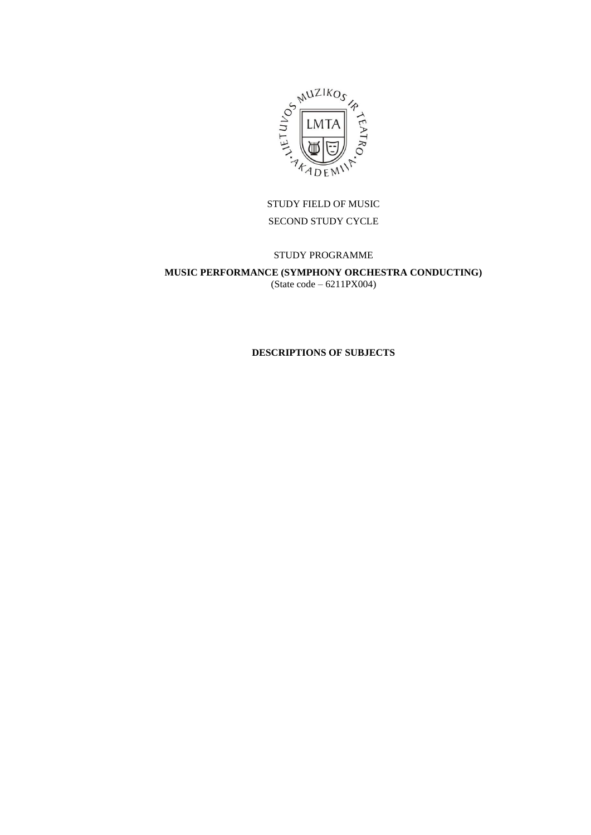

# STUDY FIELD OF MUSIC SECOND STUDY CYCLE

# STUDY PROGRAMME

### **MUSIC PERFORMANCE (SYMPHONY ORCHESTRA CONDUCTING)** (State code – 6211PX004)

### **DESCRIPTIONS OF SUBJECTS**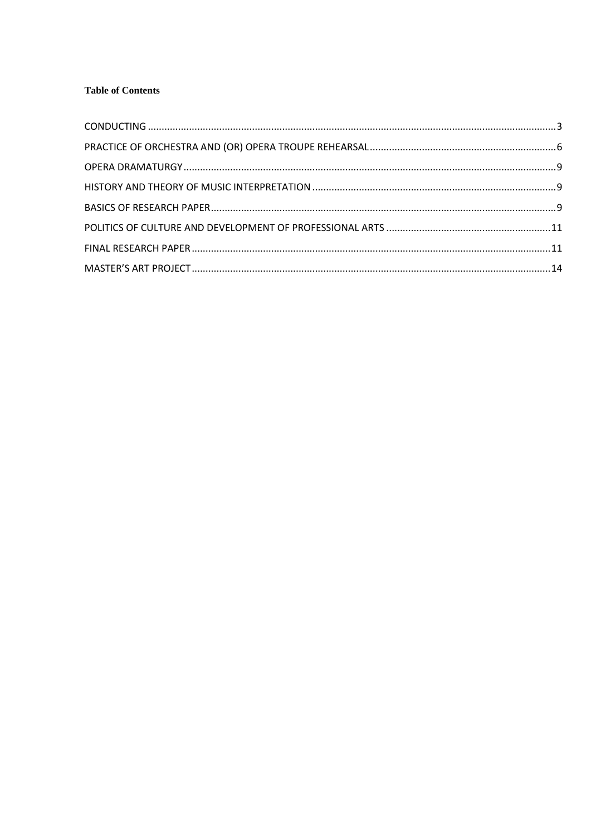# **Table of Contents**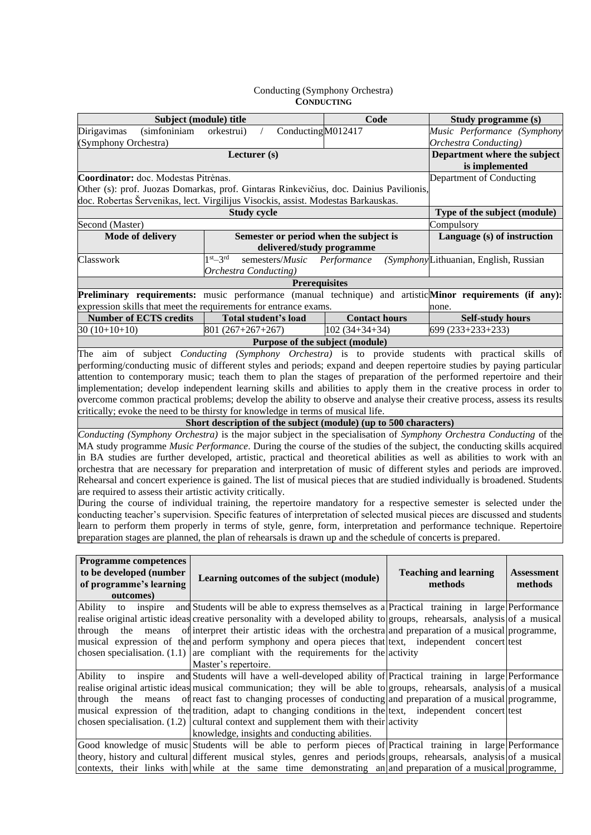#### Conducting (Symphony Orchestra) **CONDUCTING**

<span id="page-2-0"></span>

| Subject (module) title                                                                                                      |                                                                                              | Code                 | Study programme (s)                   |                   |
|-----------------------------------------------------------------------------------------------------------------------------|----------------------------------------------------------------------------------------------|----------------------|---------------------------------------|-------------------|
| (simfoniniam<br>Dirigavimas                                                                                                 | Conducting M012417<br>orkestrui)                                                             |                      | Music Performance (Symphony           |                   |
| (Symphony Orchestra)                                                                                                        |                                                                                              |                      | <b>Orchestra Conducting</b> )         |                   |
|                                                                                                                             | Lecturer (s)                                                                                 |                      | Department where the subject          |                   |
|                                                                                                                             |                                                                                              |                      | is implemented                        |                   |
| Coordinator: doc. Modestas Pitrėnas.                                                                                        | Department of Conducting                                                                     |                      |                                       |                   |
| Other (s): prof. Juozas Domarkas, prof. Gintaras Rinkevičius, doc. Dainius Pavilionis,                                      |                                                                                              |                      |                                       |                   |
| doc. Robertas Šervenikas, lect. Virgilijus Visockis, assist. Modestas Barkauskas.                                           |                                                                                              |                      |                                       |                   |
|                                                                                                                             | <b>Study cycle</b>                                                                           |                      | Type of the subject (module)          |                   |
| Second (Master)                                                                                                             |                                                                                              |                      | Compulsory                            |                   |
| Mode of delivery                                                                                                            | Semester or period when the subject is                                                       |                      | Language (s) of instruction           |                   |
|                                                                                                                             | delivered/study programme                                                                    |                      |                                       |                   |
| Classwork                                                                                                                   | $1st-3rd$<br>semesters/Music                                                                 | Performance          | (SymphonyLithuanian, English, Russian |                   |
|                                                                                                                             | <b>Orchestra Conducting</b> )                                                                |                      |                                       |                   |
|                                                                                                                             | <b>Prerequisites</b>                                                                         |                      |                                       |                   |
| Preliminary requirements: music performance (manual technique) and artistic Minor requirements (if any):                    |                                                                                              |                      |                                       |                   |
| expression skills that meet the requirements for entrance exams.                                                            |                                                                                              |                      | none.                                 |                   |
| <b>Number of ECTS credits</b>                                                                                               | Total student's load                                                                         | <b>Contact hours</b> | <b>Self-study hours</b>               |                   |
| $30(10+10+10)$                                                                                                              | 801 (267+267+267)                                                                            | $102(34+34+34)$      | 699 (233+233+233)                     |                   |
|                                                                                                                             | Purpose of the subject (module)                                                              |                      |                                       |                   |
| The aim of subject <i>Conducting (Symphony Orchestra)</i> is to provide students with practical skills of                   |                                                                                              |                      |                                       |                   |
| performing/conducting music of different styles and periods; expand and deepen repertoire studies by paying particular      |                                                                                              |                      |                                       |                   |
| attention to contemporary music; teach them to plan the stages of preparation of the performed repertoire and their         |                                                                                              |                      |                                       |                   |
| implementation; develop independent learning skills and abilities to apply them in the creative process in order to         |                                                                                              |                      |                                       |                   |
| overcome common practical problems; develop the ability to observe and analyse their creative process, assess its results   |                                                                                              |                      |                                       |                   |
| critically; evoke the need to be thirsty for knowledge in terms of musical life.                                            |                                                                                              |                      |                                       |                   |
|                                                                                                                             | Short description of the subject (module) (up to 500 characters)                             |                      |                                       |                   |
| Conducting (Symphony Orchestra) is the major subject in the specialisation of Symphony Orchestra Conducting of the          |                                                                                              |                      |                                       |                   |
| MA study programme Music Performance. During the course of the studies of the subject, the conducting skills acquired       |                                                                                              |                      |                                       |                   |
| in BA studies are further developed, artistic, practical and theoretical abilities as well as abilities to work with an     |                                                                                              |                      |                                       |                   |
| orchestra that are necessary for preparation and interpretation of music of different styles and periods are improved.      |                                                                                              |                      |                                       |                   |
| Rehearsal and concert experience is gained. The list of musical pieces that are studied individually is broadened. Students |                                                                                              |                      |                                       |                   |
| are required to assess their artistic activity critically.                                                                  |                                                                                              |                      |                                       |                   |
| During the course of individual training, the repertoire mandatory for a respective semester is selected under the          |                                                                                              |                      |                                       |                   |
| conducting teacher's supervision. Specific features of interpretation of selected musical pieces are discussed and students |                                                                                              |                      |                                       |                   |
| learn to perform them properly in terms of style, genre, form, interpretation and performance technique. Repertoire         |                                                                                              |                      |                                       |                   |
| preparation stages are planned, the plan of rehearsals is drawn up and the schedule of concerts is prepared.                |                                                                                              |                      |                                       |                   |
|                                                                                                                             |                                                                                              |                      |                                       |                   |
| <b>Programme competences</b>                                                                                                |                                                                                              |                      |                                       |                   |
| to be developed (number                                                                                                     | Learning outcomes of the subject (module)                                                    |                      | <b>Teaching and learning</b>          | <b>Assessment</b> |
| of programme's learning                                                                                                     |                                                                                              |                      | methods                               | methods           |
| outcomes)                                                                                                                   |                                                                                              |                      |                                       |                   |
| inspire<br>Ability<br>to                                                                                                    | and Students will be able to express themselves as a Practical training in large Performance |                      |                                       |                   |
| realise original artistic ideas creative personality with a developed ability to groups, rehearsals, analysis of a musical  |                                                                                              |                      |                                       |                   |
| through<br>means<br>the                                                                                                     | of interpret their artistic ideas with the orchestra and preparation of a musical programme, |                      |                                       |                   |
| musical expression of the and perform symphony and opera pieces that lext, independent concert lest                         |                                                                                              |                      |                                       |                   |
| chosen specialisation. $(1.1)$ are compliant with the requirements for the activity                                         |                                                                                              |                      |                                       |                   |
|                                                                                                                             | Master's repertoire.                                                                         |                      |                                       |                   |
| Ability<br>inspire<br>to                                                                                                    | and Students will have a well-developed ability of Practical training in large Performance   |                      |                                       |                   |
| realise original artistic ideas musical communication; they will be able to groups, rehearsals, analysis of a musical       |                                                                                              |                      |                                       |                   |
| through<br>the<br>means                                                                                                     | of react fast to changing processes of conducting and preparation of a musical programme,    |                      |                                       |                   |
| musical expression of the tradition, adapt to changing conditions in the text, independent concert test                     |                                                                                              |                      |                                       |                   |
| chosen specialisation. $(1.2)$ cultural context and supplement them with their activity                                     |                                                                                              |                      |                                       |                   |
|                                                                                                                             | knowledge, insights and conducting abilities.                                                |                      |                                       |                   |
| Good knowledge of music Students will be able to perform pieces of Practical training in large Performance                  |                                                                                              |                      |                                       |                   |
| theory, history and cultural different musical styles, genres and periods groups, rehearsals, analysis of a musical         |                                                                                              |                      |                                       |                   |
| contexts, their links with while at the same time demonstrating an and preparation of a musical programme,                  |                                                                                              |                      |                                       |                   |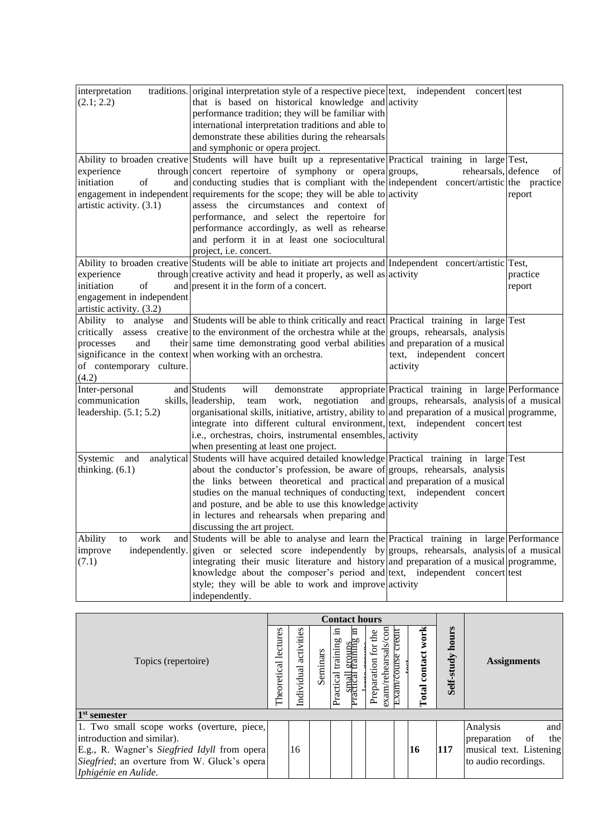| interpretation            | traditions. original interpretation style of a respective piece text, independent concert test                    |                                                     |          |
|---------------------------|-------------------------------------------------------------------------------------------------------------------|-----------------------------------------------------|----------|
| (2.1; 2.2)                | that is based on historical knowledge and activity                                                                |                                                     |          |
|                           | performance tradition; they will be familiar with                                                                 |                                                     |          |
|                           | international interpretation traditions and able to                                                               |                                                     |          |
|                           | demonstrate these abilities during the rehearsals                                                                 |                                                     |          |
|                           | and symphonic or opera project.                                                                                   |                                                     |          |
|                           | Ability to broaden creative Students will have built up a representative Practical training in large Test,        |                                                     |          |
| experience                | through concert repertoire of symphony or opera groups,                                                           | rehearsals, defence                                 | of       |
| initiation<br>of          | and conducting studies that is compliant with the independent concert/artistic the practice                       |                                                     |          |
|                           | engagement in independent requirements for the scope; they will be able to activity                               |                                                     | report   |
| artistic activity. (3.1)  | assess the circumstances and context of                                                                           |                                                     |          |
|                           | performance, and select the repertoire for                                                                        |                                                     |          |
|                           | performance accordingly, as well as rehearse                                                                      |                                                     |          |
|                           | and perform it in at least one sociocultural                                                                      |                                                     |          |
|                           | project, i.e. concert.                                                                                            |                                                     |          |
|                           | Ability to broaden creative Students will be able to initiate art projects and Independent concert/artistic Test, |                                                     |          |
|                           |                                                                                                                   |                                                     |          |
| experience                | through creative activity and head it properly, as well as activity                                               |                                                     | practice |
| initiation<br>of          | and present it in the form of a concert.                                                                          |                                                     | report   |
| engagement in independent |                                                                                                                   |                                                     |          |
| artistic activity. (3.2)  |                                                                                                                   |                                                     |          |
| Ability to                | analyse and Students will be able to think critically and react Practical training in large Test                  |                                                     |          |
|                           | critically assess creative to the environment of the orchestra while at the groups, rehearsals, analysis          |                                                     |          |
| processes<br>and          | their same time demonstrating good verbal abilities and preparation of a musical                                  |                                                     |          |
|                           | significance in the context when working with an orchestra.                                                       | text, independent concert                           |          |
| of contemporary culture.  |                                                                                                                   | activity                                            |          |
| (4.2)                     |                                                                                                                   |                                                     |          |
| Inter-personal            | and Students<br>will<br>demonstrate                                                                               | appropriate Practical training in large Performance |          |
| communication             | team work, negotiation and groups, rehearsals, analysis of a musical<br>skills, leadership,                       |                                                     |          |
| leadership. $(5.1; 5.2)$  | organisational skills, initiative, artistry, ability to and preparation of a musical programme,                   |                                                     |          |
|                           | integrate into different cultural environment, text, independent concert test                                     |                                                     |          |
|                           | i.e., orchestras, choirs, instrumental ensembles, activity                                                        |                                                     |          |
|                           | when presenting at least one project.                                                                             |                                                     |          |
| Systemic and              | analytical Students will have acquired detailed knowledge Practical training in large Test                        |                                                     |          |
| thinking. $(6.1)$         | about the conductor's profession, be aware of groups, rehearsals, analysis                                        |                                                     |          |
|                           | the links between theoretical and practical and preparation of a musical                                          |                                                     |          |
|                           | studies on the manual techniques of conducting text, independent concert                                          |                                                     |          |
|                           | and posture, and be able to use this knowledge activity                                                           |                                                     |          |
|                           | in lectures and rehearsals when preparing and                                                                     |                                                     |          |
|                           | discussing the art project.                                                                                       |                                                     |          |
| Ability<br>work<br>to     | and Students will be able to analyse and learn the Practical training in large Performance                        |                                                     |          |
| improve                   | independently. given or selected score independently by groups, rehearsals, analysis of a musical                 |                                                     |          |
| (7.1)                     | integrating their music literature and history and preparation of a musical programme,                            |                                                     |          |
|                           | knowledge about the composer's period and text, independent concert test                                          |                                                     |          |
|                           | style; they will be able to work and improve activity                                                             |                                                     |          |
|                           | independently.                                                                                                    |                                                     |          |
|                           |                                                                                                                   |                                                     |          |

|                                              |                         |                          |          | <b>Contact hours</b>        |                                             |                                                             |                                 |                          |                     |                          |
|----------------------------------------------|-------------------------|--------------------------|----------|-----------------------------|---------------------------------------------|-------------------------------------------------------------|---------------------------------|--------------------------|---------------------|--------------------------|
| Topics (repertoire)                          | lectures<br>Theoretical | activities<br>Individual | Seminars | .드<br>training<br>Practical | 日<br>eroups<br>training<br><b>Practical</b> | $\mathbf{d}$<br>sals<br>for<br>Preparation<br>rehear<br>max | creatt<br>course<br><b>Exam</b> | work<br>contact<br>Total | hours<br>Self-study | <b>Assignments</b>       |
| 1 <sup>st</sup> semester                     |                         |                          |          |                             |                                             |                                                             |                                 |                          |                     |                          |
| 1. Two small scope works (overture, piece,   |                         |                          |          |                             |                                             |                                                             |                                 |                          |                     | Analysis<br>and          |
| introduction and similar).                   |                         |                          |          |                             |                                             |                                                             |                                 |                          |                     | preparation<br>of<br>the |
| E.g., R. Wagner's Siegfried Idyll from opera |                         | 16                       |          |                             |                                             |                                                             |                                 | <b>16</b>                | <b>117</b>          | musical text. Listening  |
| Siegfried; an overture from W. Gluck's opera |                         |                          |          |                             |                                             |                                                             |                                 |                          |                     | to audio recordings.     |
| Iphigénie en Aulide.                         |                         |                          |          |                             |                                             |                                                             |                                 |                          |                     |                          |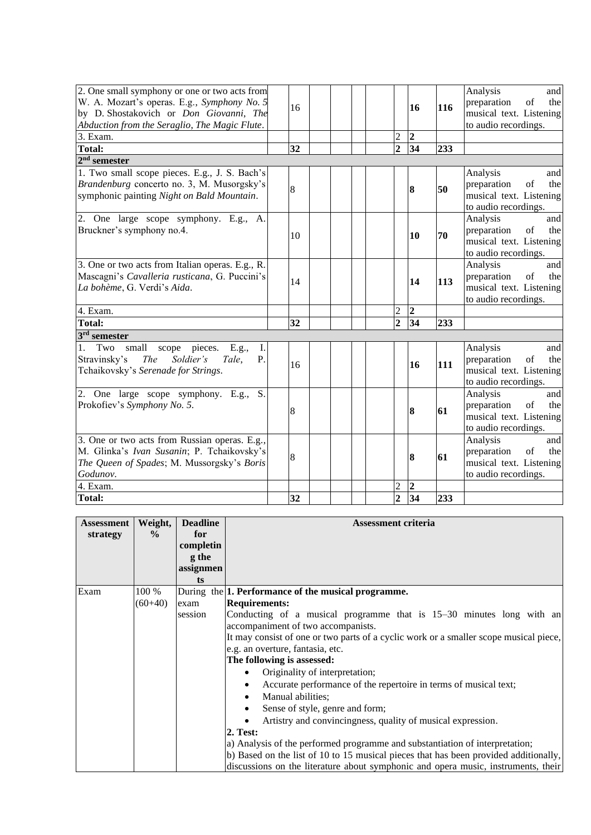| 2. One small symphony or one or two acts from<br>W. A. Mozart's operas. E.g., Symphony No. 5<br>by D. Shostakovich or Don Giovanni, The<br>Abduction from the Seraglio, The Magic Flute. | 16 |  |                | 16             | 116 | Analysis<br>and<br>preparation<br>of<br>the<br>musical text. Listening<br>to audio recordings. |
|------------------------------------------------------------------------------------------------------------------------------------------------------------------------------------------|----|--|----------------|----------------|-----|------------------------------------------------------------------------------------------------|
| $3.$ Exam.                                                                                                                                                                               |    |  | $\overline{c}$ | $\overline{2}$ |     |                                                                                                |
| <b>Total:</b>                                                                                                                                                                            | 32 |  | $\overline{2}$ | 34             | 233 |                                                                                                |
| $2nd$ semester                                                                                                                                                                           |    |  |                |                |     |                                                                                                |
| 1. Two small scope pieces. E.g., J. S. Bach's<br>Brandenburg concerto no. 3, M. Musorgsky's<br>symphonic painting Night on Bald Mountain.                                                | 8  |  |                | 8              | 50  | Analysis<br>and<br>preparation<br>of<br>the<br>musical text. Listening<br>to audio recordings. |
| 2. One large scope symphony. E.g., A.<br>Bruckner's symphony no.4.                                                                                                                       | 10 |  |                | 10             | 70  | Analysis<br>and<br>preparation<br>of<br>the<br>musical text. Listening<br>to audio recordings. |
| 3. One or two acts from Italian operas. E.g., R.<br>Mascagni's Cavalleria rusticana, G. Puccini's<br>La bohème, G. Verdi's Aida.                                                         | 14 |  |                | 14             | 113 | Analysis<br>and<br>preparation<br>of<br>the<br>musical text. Listening<br>to audio recordings. |
| 4. Exam.                                                                                                                                                                                 |    |  | $\overline{2}$ | $\overline{2}$ |     |                                                                                                |
| <b>Total:</b>                                                                                                                                                                            | 32 |  | $\overline{2}$ | 34             | 233 |                                                                                                |
| 3 <sup>rd</sup> semester                                                                                                                                                                 |    |  |                |                |     |                                                                                                |
| small<br>pieces.<br>1.<br>Two<br>scope<br>E.g.,<br>Ι.<br>Stravinsky's<br>Soldier's<br><b>The</b><br>Tale,<br>P.<br>Tchaikovsky's Serenade for Strings.                                   | 16 |  |                | 16             | 111 | Analysis<br>and<br>preparation<br>of<br>the<br>musical text. Listening<br>to audio recordings. |
| 2. One large scope symphony. E.g.,<br>S.<br>Prokofiev's Symphony No. 5.                                                                                                                  | 8  |  |                | 8              | 61  | Analysis<br>and<br>preparation<br>of<br>the<br>musical text. Listening<br>to audio recordings. |
| 3. One or two acts from Russian operas. E.g.,<br>M. Glinka's Ivan Susanin; P. Tchaikovsky's<br>The Queen of Spades; M. Mussorgsky's Boris<br>Godunov.                                    | 8  |  |                | 8              | 61  | Analysis<br>and<br>preparation<br>of<br>the<br>musical text. Listening<br>to audio recordings. |
| 4. Exam.                                                                                                                                                                                 |    |  | $\overline{c}$ | $\overline{2}$ |     |                                                                                                |
| <b>Total:</b>                                                                                                                                                                            | 32 |  | $\overline{2}$ | 34             | 233 |                                                                                                |

| <b>Assessment</b> | Weight,       | <b>Deadline</b> | <b>Assessment criteria</b>                                                            |
|-------------------|---------------|-----------------|---------------------------------------------------------------------------------------|
| strategy          | $\frac{6}{9}$ | for             |                                                                                       |
|                   |               | completin       |                                                                                       |
|                   |               | g the           |                                                                                       |
|                   |               | assignmen       |                                                                                       |
|                   |               | ts              |                                                                                       |
| Exam              | 100 %         |                 | During the 1. Performance of the musical programme.                                   |
|                   | $(60+40)$     | exam            | <b>Requirements:</b>                                                                  |
|                   |               | session         | Conducting of a musical programme that is 15–30 minutes long with an                  |
|                   |               |                 | accompaniment of two accompanists.                                                    |
|                   |               |                 | It may consist of one or two parts of a cyclic work or a smaller scope musical piece, |
|                   |               |                 | e.g. an overture, fantasia, etc.                                                      |
|                   |               |                 | The following is assessed:                                                            |
|                   |               |                 | Originality of interpretation;                                                        |
|                   |               |                 | Accurate performance of the repertoire in terms of musical text;                      |
|                   |               |                 | Manual abilities;<br>$\bullet$                                                        |
|                   |               |                 | Sense of style, genre and form;<br>$\bullet$                                          |
|                   |               |                 | Artistry and convincingness, quality of musical expression.                           |
|                   |               |                 | <b>2. Test:</b>                                                                       |
|                   |               |                 | a) Analysis of the performed programme and substantiation of interpretation;          |
|                   |               |                 | b) Based on the list of 10 to 15 musical pieces that has been provided additionally,  |
|                   |               |                 | discussions on the literature about symphonic and opera music, instruments, their     |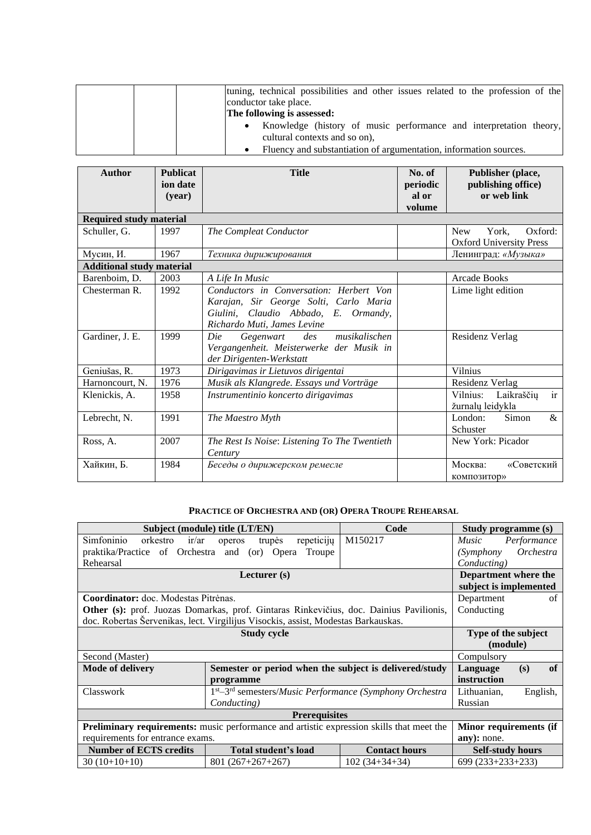|  | tuning, technical possibilities and other issues related to the profession of the |
|--|-----------------------------------------------------------------------------------|
|  | conductor take place.                                                             |
|  | The following is assessed:                                                        |
|  | Knowledge (history of music performance and interpretation theory,<br>٠           |
|  | cultural contexts and so on),                                                     |
|  | Fluency and substantiation of argumentation, information sources.                 |

| <b>Author</b>                    | <b>Publicat</b><br>ion date<br>(vear) | <b>Title</b>                                                                                                                                             | No. of<br>periodic<br>al or<br>volume | Publisher (place,<br>publishing office)<br>or web link           |
|----------------------------------|---------------------------------------|----------------------------------------------------------------------------------------------------------------------------------------------------------|---------------------------------------|------------------------------------------------------------------|
| <b>Required study material</b>   |                                       |                                                                                                                                                          |                                       |                                                                  |
| Schuller, G.                     | 1997                                  | The Compleat Conductor                                                                                                                                   |                                       | Oxford:<br><b>New</b><br>York,<br><b>Oxford University Press</b> |
| Мусин, И.                        | 1967                                  | Техника дирижирования                                                                                                                                    |                                       | Ленинград: «Музыка»                                              |
| <b>Additional study material</b> |                                       |                                                                                                                                                          |                                       |                                                                  |
| Barenboim, D.                    | 2003                                  | A Life In Music                                                                                                                                          |                                       | Arcade Books                                                     |
| Chesterman R.                    | 1992                                  | Conductors in Conversation: Herbert Von<br>Karajan, Sir George Solti, Carlo Maria<br>Giulini, Claudio Abbado, E. Ormandy,<br>Richardo Muti, James Levine |                                       | Lime light edition                                               |
| Gardiner, J. E.                  | 1999                                  | musikalischen<br>Die<br>des<br>Gegenwart<br>Vergangenheit. Meisterwerke der Musik in<br>der Dirigenten-Werkstatt                                         |                                       | Residenz Verlag                                                  |
| Geniušas, R.                     | 1973                                  | Dirigavimas ir Lietuvos dirigentai                                                                                                                       |                                       | Vilnius                                                          |
| Harnoncourt, N.                  | 1976                                  | Musik als Klangrede. Essays und Vorträge                                                                                                                 |                                       | Residenz Verlag                                                  |
| Klenickis, A.                    | 1958                                  | Instrumentinio koncerto dirigavimas                                                                                                                      |                                       | Vilnius:<br>ir<br>Laikraščių<br>žurnalų leidykla                 |
| Lebrecht, N.                     | 1991                                  | The Maestro Myth                                                                                                                                         |                                       | $\&$<br>London:<br>Simon<br>Schuster                             |
| Ross, A.                         | 2007                                  | The Rest Is Noise: Listening To The Twentieth<br>Century                                                                                                 |                                       | New York: Picador                                                |
| Хайкин, Б.                       | 1984                                  | Беседы о дирижерском ремесле                                                                                                                             |                                       | Москва:<br>«Советский<br>композитор»                             |

# **PRACTICE OF ORCHESTRA AND (OR) OPERA TROUPE REHEARSAL**

<span id="page-5-0"></span>

|                                               | Subject (module) title (LT/EN)                                                                  | Code                 | Study programme (s)         |  |  |  |  |
|-----------------------------------------------|-------------------------------------------------------------------------------------------------|----------------------|-----------------------------|--|--|--|--|
| Simfoninio<br>ir/ar<br>orkestro               | repeticijų<br>trupės<br>operos                                                                  | M150217              | <i>Music</i><br>Performance |  |  |  |  |
| praktika/Practice of Orchestra and (or) Opera | Troupe                                                                                          |                      | Orchestra<br>(Symphony)     |  |  |  |  |
| Rehearsal                                     |                                                                                                 |                      | Conducting)                 |  |  |  |  |
|                                               | Lecturer $(s)$                                                                                  |                      | Department where the        |  |  |  |  |
|                                               |                                                                                                 |                      | subject is implemented      |  |  |  |  |
| Coordinator: doc. Modestas Pitrėnas.          |                                                                                                 |                      | Department<br>of            |  |  |  |  |
|                                               | Other (s): prof. Juozas Domarkas, prof. Gintaras Rinkevičius, doc. Dainius Pavilionis,          |                      | Conducting                  |  |  |  |  |
|                                               | doc. Robertas Šervenikas, lect. Virgilijus Visockis, assist, Modestas Barkauskas.               |                      |                             |  |  |  |  |
|                                               | Type of the subject<br>(module)                                                                 |                      |                             |  |  |  |  |
| Second (Master)                               |                                                                                                 |                      | Compulsory                  |  |  |  |  |
| <b>Mode of delivery</b>                       | Semester or period when the subject is delivered/study                                          |                      | of<br>Language<br>(s)       |  |  |  |  |
|                                               | programme                                                                                       |                      | instruction                 |  |  |  |  |
| Classwork                                     | $1st - 3rd$ semesters/ <i>Music Performance</i> ( <i>Symphony Orchestra</i>                     |                      | Lithuanian,<br>English,     |  |  |  |  |
|                                               |                                                                                                 | Russian              |                             |  |  |  |  |
| <b>Prerequisites</b>                          |                                                                                                 |                      |                             |  |  |  |  |
|                                               | <b>Preliminary requirements:</b> music performance and artistic expression skills that meet the |                      |                             |  |  |  |  |
| requirements for entrance exams.              |                                                                                                 | any): none.          |                             |  |  |  |  |
| <b>Number of ECTS credits</b>                 | Total student's load                                                                            | <b>Contact hours</b> | <b>Self-study hours</b>     |  |  |  |  |
| $30(10+10+10)$                                | $801(267+267+267)$                                                                              | $102(34+34+34)$      | $699(233+233+233)$          |  |  |  |  |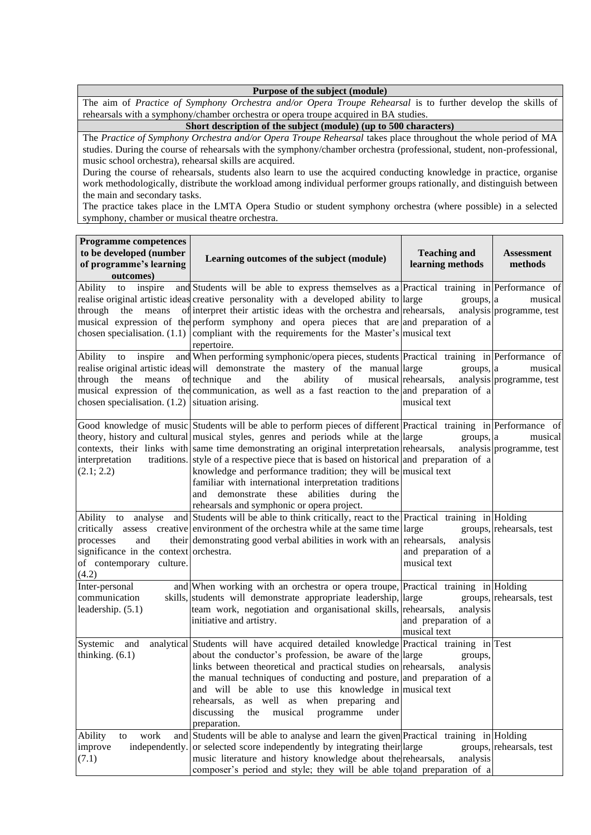#### **Purpose of the subject (module)**

The aim of *Practice of Symphony Orchestra and/or Opera Troupe Rehearsal* is to further develop the skills of rehearsals with a symphony/chamber orchestra or opera troupe acquired in BA studies.

**Short description of the subject (module) (up to 500 characters)**

The *Practice of Symphony Orchestra and/or Opera Troupe Rehearsal* takes place throughout the whole period of MA studies. During the course of rehearsals with the symphony/chamber orchestra (professional, student, non-professional, music school orchestra), rehearsal skills are acquired.

During the course of rehearsals, students also learn to use the acquired conducting knowledge in practice, organise work methodologically, distribute the workload among individual performer groups rationally, and distinguish between the main and secondary tasks.

The practice takes place in the LMTA Opera Studio or student symphony orchestra (where possible) in a selected symphony, chamber or musical theatre orchestra.

| <b>Programme competences</b><br>to be developed (number<br>of programme's learning<br>outcomes)                       | Learning outcomes of the subject (module)                                                                                                                                                                                                                                                                                                                                                                                                                                                                                                                                                                                     | <b>Teaching and</b><br>learning methods          | <b>Assessment</b><br>methods        |
|-----------------------------------------------------------------------------------------------------------------------|-------------------------------------------------------------------------------------------------------------------------------------------------------------------------------------------------------------------------------------------------------------------------------------------------------------------------------------------------------------------------------------------------------------------------------------------------------------------------------------------------------------------------------------------------------------------------------------------------------------------------------|--------------------------------------------------|-------------------------------------|
| Ability<br>inspire<br>to<br>through                                                                                   | and Students will be able to express themselves as a Practical training in Performance of<br>realise original artistic ideas creative personality with a developed ability to large<br>the means of interpret their artistic ideas with the orchestra and rehearsals,<br>musical expression of the perform symphony and opera pieces that are and preparation of a<br>chosen specialisation. $(1.1)$ compliant with the requirements for the Master's musical text<br>repertoire.                                                                                                                                             | groups, a                                        | musical<br>analysis programme, test |
| inspire<br>Ability<br>to<br>through<br>the<br>means<br>chosen specialisation. $(1.2)$ situation arising.              | and When performing symphonic/opera pieces, students Practical training in Performance of<br>realise original artistic ideas will demonstrate the mastery of the manual large<br>of technique<br>and<br>the<br>ability<br>of<br>musical expression of the communication, as well as a fast reaction to the and preparation of a                                                                                                                                                                                                                                                                                               | groups, a<br>musical rehearsals,<br>musical text | musical<br>analysis programme, test |
| interpretation<br>(2.1; 2.2)                                                                                          | Good knowledge of music Students will be able to perform pieces of different Practical training in Performance of<br>theory, history and cultural musical styles, genres and periods while at the large<br>contexts, their links with same time demonstrating an original interpretation rehearsals,<br>traditions. style of a respective piece that is based on historical and preparation of a<br>knowledge and performance tradition; they will be musical text<br>familiar with international interpretation traditions<br>and demonstrate these<br>abilities during<br>the<br>rehearsals and symphonic or opera project. | groups, a                                        | musical<br>analysis programme, test |
| Ability to analyse<br>processes<br>and<br>significance in the context orchestra.<br>of contemporary culture.<br>(4.2) | and Students will be able to think critically, react to the Practical training in Holding<br>critically assess creative environment of the orchestra while at the same time large<br>their demonstrating good verbal abilities in work with an rehearsals,                                                                                                                                                                                                                                                                                                                                                                    | analysis<br>and preparation of a<br>musical text | groups, rehearsals, test            |
| Inter-personal<br>communication<br>leadership. (5.1)                                                                  | and When working with an orchestra or opera troupe, Practical training in Holding<br>skills, students will demonstrate appropriate leadership, large<br>team work, negotiation and organisational skills, rehearsals,<br>initiative and artistry.                                                                                                                                                                                                                                                                                                                                                                             | analysis<br>and preparation of a<br>musical text | groups, rehearsals, test            |
| Systemic<br>and<br>thinking. $(6.1)$                                                                                  | analytical Students will have acquired detailed knowledge Practical training in Test<br>about the conductor's profession, be aware of the large<br>links between theoretical and practical studies on rehearsals,<br>the manual techniques of conducting and posture, and preparation of a<br>and will be able to use this knowledge in musical text<br>as well as when preparing and<br>rehearsals,<br>discussing<br>musical programme<br>under<br>the<br>preparation.                                                                                                                                                       | groups,<br>analysis                              |                                     |
| work<br>Ability<br>to<br>and<br>improve<br>(7.1)                                                                      | Students will be able to analyse and learn the given Practical training in Holding<br>independently. or selected score independently by integrating their large<br>music literature and history knowledge about the rehearsals,<br>composer's period and style; they will be able to and preparation of a                                                                                                                                                                                                                                                                                                                     | analysis                                         | groups, rehearsals, test            |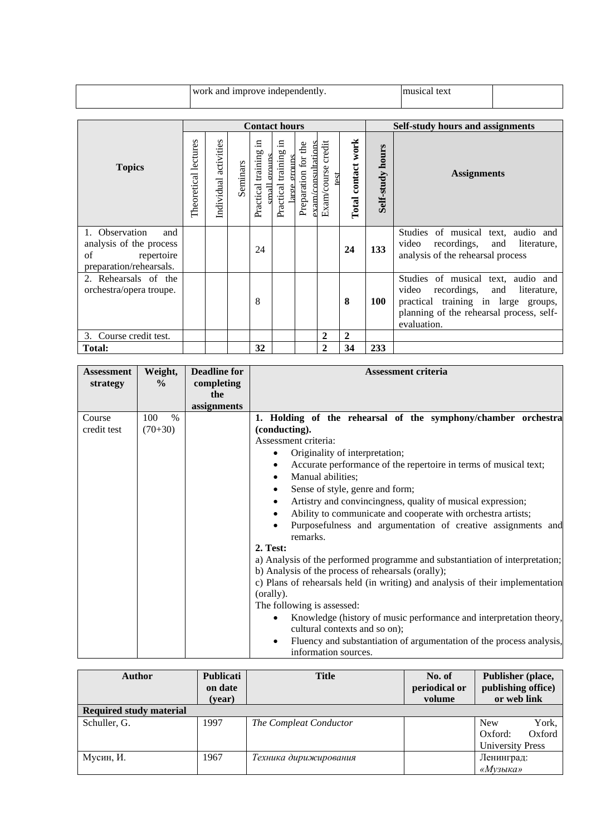|  | work and improve independently. | tex<br>19102 |  |
|--|---------------------------------|--------------|--|
|  |                                 |              |  |

|                                                                                                 | <b>Contact hours</b> |                          |          |                                                |                                               |                                                           |                               |                    | <b>Self-study hours and assignments</b> |                                                                                                                                                                                    |  |  |
|-------------------------------------------------------------------------------------------------|----------------------|--------------------------|----------|------------------------------------------------|-----------------------------------------------|-----------------------------------------------------------|-------------------------------|--------------------|-----------------------------------------|------------------------------------------------------------------------------------------------------------------------------------------------------------------------------------|--|--|
| <b>Topics</b>                                                                                   | Theoretical lectures | activities<br>Individual | Seminars | .드<br>training<br>orouns<br>Practical<br>Ilema | .日<br>training<br>ormaro<br>Practical<br>arge | the<br>$\frac{1}{2}$ xam/consultations<br>Preparation for | credit<br>Exam/course<br>test | Total contact work | hours<br>Self-study                     | <b>Assignments</b>                                                                                                                                                                 |  |  |
| 1. Observation<br>and<br>analysis of the process<br>of<br>repertoire<br>preparation/rehearsals. |                      |                          |          | 24                                             |                                               |                                                           |                               | 24                 | 133                                     | Studies of musical text, audio and<br>video<br>recordings,<br>literature,<br>and<br>analysis of the rehearsal process                                                              |  |  |
| 2. Rehearsals of the<br>orchestra/opera troupe.                                                 |                      |                          |          | 8                                              |                                               |                                                           |                               | 8                  | <b>100</b>                              | Studies of musical text, audio and<br>recordings,<br>video<br>literature,<br>and<br>practical training in large groups,<br>planning of the rehearsal process, self-<br>evaluation. |  |  |
| Course credit test.<br>3.                                                                       |                      |                          |          |                                                |                                               |                                                           | $\overline{2}$                | $\mathbf{2}$       |                                         |                                                                                                                                                                                    |  |  |
| <b>Total:</b>                                                                                   |                      |                          |          | 32                                             |                                               |                                                           | $\mathbf{2}$                  | 34                 | 233                                     |                                                                                                                                                                                    |  |  |

| <b>Assessment</b>     | Weight,                           | <b>Deadline for</b> | <b>Assessment criteria</b>                                                                                                                                                                                                                                                                                                                                                                                                                                                                                                                                                                                                                                                                                                                                            |
|-----------------------|-----------------------------------|---------------------|-----------------------------------------------------------------------------------------------------------------------------------------------------------------------------------------------------------------------------------------------------------------------------------------------------------------------------------------------------------------------------------------------------------------------------------------------------------------------------------------------------------------------------------------------------------------------------------------------------------------------------------------------------------------------------------------------------------------------------------------------------------------------|
| strategy              | $\frac{0}{0}$                     | completing          |                                                                                                                                                                                                                                                                                                                                                                                                                                                                                                                                                                                                                                                                                                                                                                       |
|                       |                                   | the                 |                                                                                                                                                                                                                                                                                                                                                                                                                                                                                                                                                                                                                                                                                                                                                                       |
|                       |                                   |                     |                                                                                                                                                                                                                                                                                                                                                                                                                                                                                                                                                                                                                                                                                                                                                                       |
| Course<br>credit test | 100<br>$\frac{0}{0}$<br>$(70+30)$ | assignments         | 1. Holding of the rehearsal of the symphony/chamber orchestra<br>(conducting).<br>Assessment criteria:<br>Originality of interpretation;<br>$\bullet$<br>Accurate performance of the repertoire in terms of musical text;<br>$\bullet$<br>Manual abilities;<br>Sense of style, genre and form;<br>Artistry and convincingness, quality of musical expression;<br>Ability to communicate and cooperate with orchestra artists;<br>٠<br>Purposefulness and argumentation of creative assignments and<br>remarks.<br><b>2. Test:</b><br>a) Analysis of the performed programme and substantiation of interpretation;<br>b) Analysis of the process of rehearsals (orally);<br>c) Plans of rehearsals held (in writing) and analysis of their implementation<br>(orally). |
|                       |                                   |                     | The following is assessed:                                                                                                                                                                                                                                                                                                                                                                                                                                                                                                                                                                                                                                                                                                                                            |
|                       |                                   |                     | Knowledge (history of music performance and interpretation theory,<br>٠<br>cultural contexts and so on);                                                                                                                                                                                                                                                                                                                                                                                                                                                                                                                                                                                                                                                              |
|                       |                                   |                     | Fluency and substantiation of argumentation of the process analysis,<br>$\bullet$<br>information sources.                                                                                                                                                                                                                                                                                                                                                                                                                                                                                                                                                                                                                                                             |

| <b>Author</b>                  | <b>Publicati</b><br>on date<br>(year) | <b>Title</b>           | No. of<br>periodical or<br>volume | Publisher (place,<br>publishing office)<br>or web link              |  |  |
|--------------------------------|---------------------------------------|------------------------|-----------------------------------|---------------------------------------------------------------------|--|--|
| <b>Required study material</b> |                                       |                        |                                   |                                                                     |  |  |
| Schuller, G.                   | 1997                                  | The Compleat Conductor |                                   | York,<br><b>New</b><br>Oxford<br>Oxford:<br><b>University Press</b> |  |  |
| Мусин, И.                      | 1967                                  | Техника дирижирования  |                                   | Ленинград:<br>«Музыка»                                              |  |  |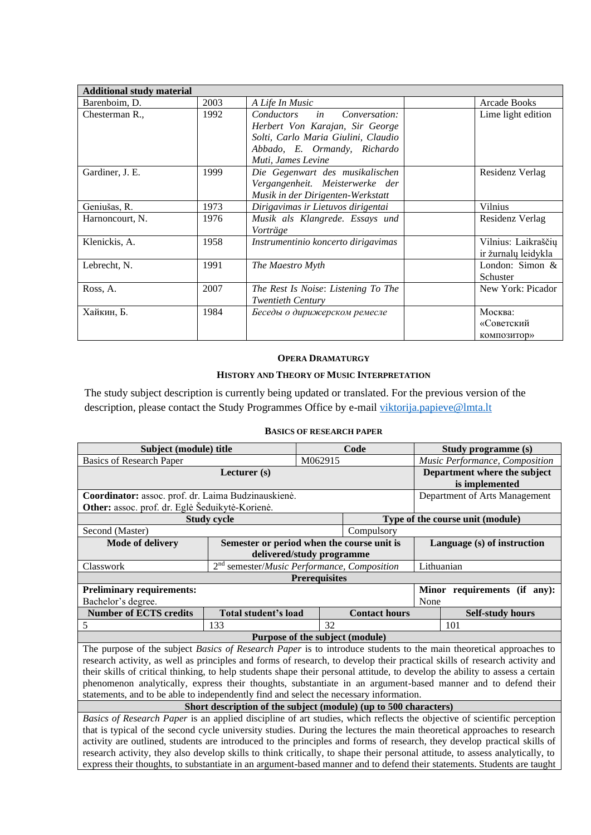| <b>Additional study material</b> |      |                                     |                     |
|----------------------------------|------|-------------------------------------|---------------------|
| Barenboim, D.                    | 2003 | A Life In Music                     | Arcade Books        |
| Chesterman R.                    | 1992 | in<br>Conversation:<br>Conductors   | Lime light edition  |
|                                  |      | Herbert Von Karajan, Sir George     |                     |
|                                  |      | Solti, Carlo Maria Giulini, Claudio |                     |
|                                  |      | Abbado, E. Ormandy, Richardo        |                     |
|                                  |      | Muti, James Levine                  |                     |
| Gardiner, J. E.                  | 1999 | Die Gegenwart des musikalischen     | Residenz Verlag     |
|                                  |      | Vergangenheit. Meisterwerke der     |                     |
|                                  |      | Musik in der Dirigenten-Werkstatt   |                     |
| Geniušas, R.                     | 1973 | Dirigavimas ir Lietuvos dirigentai  | <b>Vilnius</b>      |
| Harnoncourt, N.                  | 1976 | Musik als Klangrede. Essays und     | Residenz Verlag     |
|                                  |      | Vorträge                            |                     |
| Klenickis, A.                    | 1958 | Instrumentinio koncerto dirigavimas | Vilnius: Laikraščių |
|                                  |      |                                     | ir žurnalų leidykla |
| Lebrecht, N.                     | 1991 | The Maestro Myth                    | London: Simon &     |
|                                  |      |                                     | Schuster            |
| Ross, A.                         | 2007 | The Rest Is Noise: Listening To The | New York: Picador   |
|                                  |      | <b>Twentieth Century</b>            |                     |
| Хайкин, Б.                       | 1984 | Беседы о дирижерском ремесле        | Москва:             |
|                                  |      |                                     | «Советский          |
|                                  |      |                                     | <b>КОМПОЗИТОР»</b>  |

#### **OPERA DRAMATURGY**

### **HISTORY AND THEORY OF MUSIC INTERPRETATION**

<span id="page-8-1"></span><span id="page-8-0"></span>The study subject description is currently being updated or translated. For the previous version of the description, please contact the Study Programmes Office by e-mail [viktorija.papieve@lmta.lt](mailto:viktorija.papieve@lmta.lt)

#### **BASICS OF RESEARCH PAPER**

<span id="page-8-2"></span>

| Subject (module) title                                                                                                                                                                                                                                                                                                                                                                                                                                                                             |                                                         |                                                | Code                 |      | Study programme (s)              |  |  |  |
|----------------------------------------------------------------------------------------------------------------------------------------------------------------------------------------------------------------------------------------------------------------------------------------------------------------------------------------------------------------------------------------------------------------------------------------------------------------------------------------------------|---------------------------------------------------------|------------------------------------------------|----------------------|------|----------------------------------|--|--|--|
| <b>Basics of Research Paper</b>                                                                                                                                                                                                                                                                                                                                                                                                                                                                    |                                                         | Music Performance, Composition                 |                      |      |                                  |  |  |  |
|                                                                                                                                                                                                                                                                                                                                                                                                                                                                                                    |                                                         | Department where the subject<br>is implemented |                      |      |                                  |  |  |  |
| Coordinator: assoc. prof. dr. Laima Budzinauskienė.                                                                                                                                                                                                                                                                                                                                                                                                                                                |                                                         |                                                |                      |      | Department of Arts Management    |  |  |  |
| Other: assoc. prof. dr. Eglė Šeduikytė-Korienė.                                                                                                                                                                                                                                                                                                                                                                                                                                                    |                                                         |                                                |                      |      |                                  |  |  |  |
|                                                                                                                                                                                                                                                                                                                                                                                                                                                                                                    | <b>Study cycle</b>                                      |                                                |                      |      | Type of the course unit (module) |  |  |  |
| Second (Master)                                                                                                                                                                                                                                                                                                                                                                                                                                                                                    |                                                         |                                                | Compulsory           |      |                                  |  |  |  |
| <b>Mode of delivery</b>                                                                                                                                                                                                                                                                                                                                                                                                                                                                            | Semester or period when the course unit is              |                                                |                      |      | Language (s) of instruction      |  |  |  |
|                                                                                                                                                                                                                                                                                                                                                                                                                                                                                                    |                                                         | delivered/study programme                      |                      |      |                                  |  |  |  |
| Classwork                                                                                                                                                                                                                                                                                                                                                                                                                                                                                          | 2 <sup>nd</sup> semester/Music Performance, Composition |                                                |                      |      | Lithuanian                       |  |  |  |
|                                                                                                                                                                                                                                                                                                                                                                                                                                                                                                    |                                                         | <b>Prerequisites</b>                           |                      |      |                                  |  |  |  |
| <b>Preliminary requirements:</b>                                                                                                                                                                                                                                                                                                                                                                                                                                                                   |                                                         |                                                |                      |      | Minor requirements (if any):     |  |  |  |
| Bachelor's degree.                                                                                                                                                                                                                                                                                                                                                                                                                                                                                 |                                                         |                                                |                      | None |                                  |  |  |  |
| <b>Number of ECTS credits</b>                                                                                                                                                                                                                                                                                                                                                                                                                                                                      | <b>Total student's load</b>                             |                                                | <b>Contact hours</b> |      | <b>Self-study hours</b>          |  |  |  |
| 5                                                                                                                                                                                                                                                                                                                                                                                                                                                                                                  | 133                                                     | 32                                             |                      |      | 101                              |  |  |  |
|                                                                                                                                                                                                                                                                                                                                                                                                                                                                                                    |                                                         | Purpose of the subject (module)                |                      |      |                                  |  |  |  |
| The purpose of the subject Basics of Research Paper is to introduce students to the main theoretical approaches to<br>research activity, as well as principles and forms of research, to develop their practical skills of research activity and<br>their skills of critical thinking, to help students shape their personal attitude, to develop the ability to assess a certain<br>phenomenon analytically, express their thoughts, substantiate in an argument-based manner and to defend their |                                                         |                                                |                      |      |                                  |  |  |  |

statements, and to be able to independently find and select the necessary information. **Short description of the subject (module) (up to 500 characters)**

*Basics of Research Paper* is an applied discipline of art studies, which reflects the objective of scientific perception that is typical of the second cycle university studies. During the lectures the main theoretical approaches to research activity are outlined, students are introduced to the principles and forms of research, they develop practical skills of research activity, they also develop skills to think critically, to shape their personal attitude, to assess analytically, to express their thoughts, to substantiate in an argument-based manner and to defend their statements. Students are taught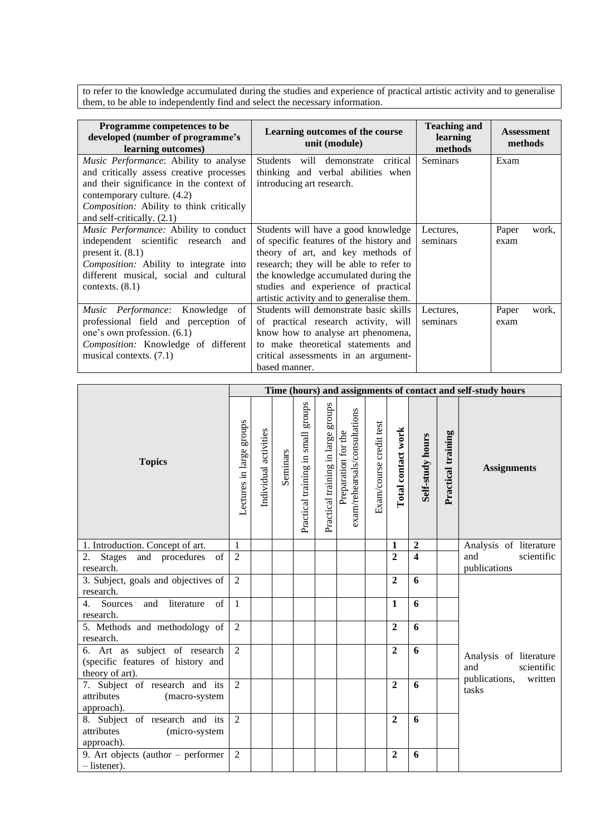to refer to the knowledge accumulated during the studies and experience of practical artistic activity and to generalise them, to be able to independently find and select the necessary information.

| Programme competences to be<br>developed (number of programme's<br>learning outcomes)                                                                                                                                                  | Learning outcomes of the course<br>unit (module)                                                                                                                                                                                                                                           | <b>Teaching and</b><br>learning<br>methods | <b>Assessment</b><br>methods |  |
|----------------------------------------------------------------------------------------------------------------------------------------------------------------------------------------------------------------------------------------|--------------------------------------------------------------------------------------------------------------------------------------------------------------------------------------------------------------------------------------------------------------------------------------------|--------------------------------------------|------------------------------|--|
| Music Performance: Ability to analyse<br>and critically assess creative processes<br>and their significance in the context of<br>contemporary culture. (4.2)<br>Composition: Ability to think critically<br>and self-critically. (2.1) | Students will demonstrate critical<br>thinking and verbal abilities when<br>introducing art research.                                                                                                                                                                                      | Seminars                                   | Exam                         |  |
| <i>Music Performance:</i> Ability to conduct<br>independent scientific research and<br>present it. $(8.1)$<br>Composition: Ability to integrate into<br>different musical, social and cultural<br>contexts. $(8.1)$                    | Students will have a good knowledge<br>of specific features of the history and<br>theory of art, and key methods of<br>research; they will be able to refer to<br>the knowledge accumulated during the<br>studies and experience of practical<br>artistic activity and to generalise them. | Lectures,<br>seminars                      | Paper<br>work,<br>exam       |  |
| Music Performance: Knowledge<br>of<br>professional field and perception of<br>one's own profession. (6.1)<br><i>Composition:</i> Knowledge of different<br>musical contexts. (7.1)                                                     | Students will demonstrate basic skills<br>of practical research activity, will<br>know how to analyse art phenomena,<br>to make theoretical statements and<br>critical assessments in an argument-<br>based manner.                                                                        | Lectures,<br>seminars                      | Paper<br>work,<br>exam       |  |

|                                                                                       |                          |                       |          |                                       |                                       |                                                      |                         |                    |                  |                    | Time (hours) and assignments of contact and self-study hours            |
|---------------------------------------------------------------------------------------|--------------------------|-----------------------|----------|---------------------------------------|---------------------------------------|------------------------------------------------------|-------------------------|--------------------|------------------|--------------------|-------------------------------------------------------------------------|
| <b>Topics</b>                                                                         | Lectures in large groups | Individual activities | Seminars | groups<br>Practical training in small | groups<br>Practical training in large | exam/rehearsals/consultations<br>Preparation for the | Exam/course credit test | Total contact work | Self-study hours | Practical training | <b>Assignments</b>                                                      |
| 1. Introduction. Concept of art.                                                      | $\mathbf{1}$             |                       |          |                                       |                                       |                                                      |                         | $\mathbf{1}$       | $\mathbf 2$      |                    | Analysis of literature                                                  |
| of<br>2.<br><b>Stages</b><br>and procedures<br>research.                              | $\overline{2}$           |                       |          |                                       |                                       |                                                      |                         | $\overline{2}$     | $\overline{4}$   |                    | scientific<br>and<br>publications                                       |
| 3. Subject, goals and objectives of<br>research.                                      | 2                        |                       |          |                                       |                                       |                                                      |                         | $\overline{2}$     | 6                |                    |                                                                         |
| Sources and<br>literature<br>4.<br>of<br>research.                                    | $\mathbf{1}$             |                       |          |                                       |                                       |                                                      |                         | $\mathbf{1}$       | 6                |                    |                                                                         |
| 5. Methods and methodology of<br>research.                                            | 2                        |                       |          |                                       |                                       |                                                      |                         | $\overline{2}$     | 6                |                    |                                                                         |
| 6. Art as subject of research<br>(specific features of history and<br>theory of art). | 2                        |                       |          |                                       |                                       |                                                      |                         | $\overline{2}$     | 6                |                    | Analysis of literature<br>and<br>scientific<br>publications,<br>written |
| 7. Subject of research and its<br>attributes<br>(macro-system<br>approach).           | $\overline{2}$           |                       |          |                                       |                                       |                                                      |                         | $\mathbf{2}$       | 6                |                    | tasks                                                                   |
| 8. Subject of research and its<br>attributes<br>(micro-system<br>approach).           | 2                        |                       |          |                                       |                                       |                                                      |                         | $\overline{2}$     | 6                |                    |                                                                         |
| 9. Art objects (author $-$ performer<br>$-$ listener).                                | 2                        |                       |          |                                       |                                       |                                                      |                         | $\overline{2}$     | 6                |                    |                                                                         |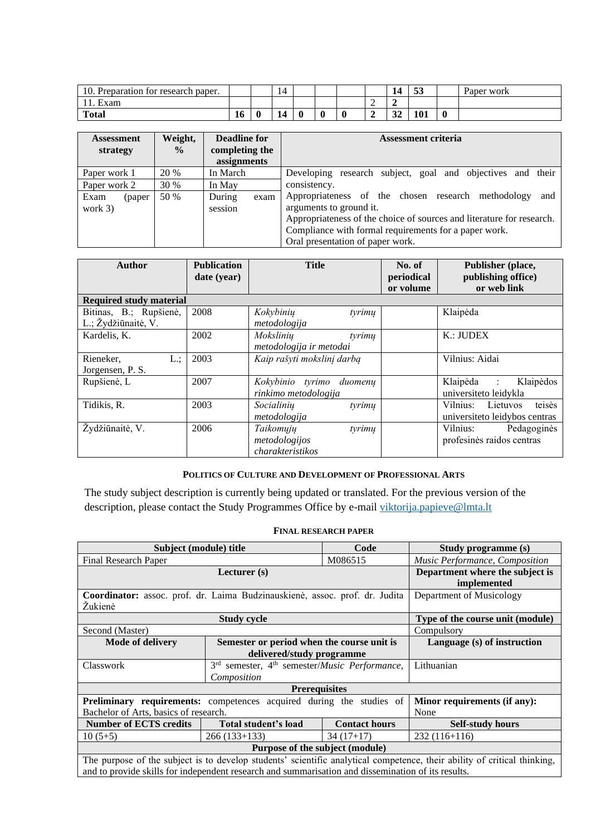| (0). Preparation for research paper. |    |   | ∸          |  |   | 14                 | $\overline{a}$<br>ູບພ | Paper work |
|--------------------------------------|----|---|------------|--|---|--------------------|-----------------------|------------|
| $\blacksquare$<br>Exam               |    |   |            |  | ∼ |                    |                       |            |
| <b>Total</b>                         | 10 | υ | $\sqrt{2}$ |  | ∼ | $\sim$ $\sim$<br>◡ | 101                   |            |

| <b>Assessment</b><br>strategy | Weight,<br>$\frac{6}{9}$ | Deadline for<br>completing the<br>assignments | <b>Assessment criteria</b>                                                                                                                                                                                                                                 |
|-------------------------------|--------------------------|-----------------------------------------------|------------------------------------------------------------------------------------------------------------------------------------------------------------------------------------------------------------------------------------------------------------|
| Paper work 1                  | 20 %                     | In March                                      | Developing research subject, goal and objectives and their                                                                                                                                                                                                 |
| Paper work 2                  | 30 %                     | In May                                        | consistency.                                                                                                                                                                                                                                               |
| Exam<br>(paper)<br>work $3)$  | 50 %                     | During<br>exam<br>session                     | Appropriateness of the chosen research methodology<br>and<br>arguments to ground it.<br>Appropriateness of the choice of sources and literature for research.<br>Compliance with formal requirements for a paper work.<br>Oral presentation of paper work. |

| <b>Author</b>                                 | <b>Publication</b><br>date (year) | <b>Title</b>                                             | No. of<br>periodical<br>or volume | Publisher (place,<br>publishing office)<br>or web link        |
|-----------------------------------------------|-----------------------------------|----------------------------------------------------------|-----------------------------------|---------------------------------------------------------------|
| <b>Required study material</b>                |                                   |                                                          |                                   |                                                               |
| Bitinas, B.; Rupšienė,<br>L.; Žydžiūnaitė, V. | 2008                              | Kokybinių<br>tyrimų<br>metodologija                      |                                   | Klaipėda                                                      |
| Kardelis, K.                                  | 2002                              | Mokslinių<br>tyrimu<br>metodologija ir metodai           |                                   | K:JUDEX                                                       |
| L:<br>Rieneker,<br>Jorgensen, P. S.           | 2003                              | Kaip rašyti mokslinį darbą                               |                                   | Vilnius: Aidai                                                |
| Rupšienė, L                                   | 2007                              | Kokybinio tyrimo<br>duomenu<br>rinkimo metodologija      |                                   | Klaipėda :<br>Klaipėdos<br>universiteto leidykla              |
| Tidikis, R.                                   | 2003                              | Socialiniu<br>tyrimų<br>metodologija                     |                                   | teisės<br>Vilnius: Lietuvos<br>universite to leidybos centras |
| Žydžiūnaitė, V.                               | 2006                              | Taikomųjų<br>tyrimų<br>metodologijos<br>charakteristikos |                                   | Vilnius:<br>Pedagoginės<br>profesinės raidos centras          |

# **POLITICS OF CULTURE AND DEVELOPMENT OF PROFESSIONAL ARTS**

<span id="page-10-0"></span>The study subject description is currently being updated or translated. For the previous version of the description, please contact the Study Programmes Office by e-mail [viktorija.papieve@lmta.lt](mailto:viktorija.papieve@lmta.lt)

# **FINAL RESEARCH PAPER**

<span id="page-10-1"></span>

| Subject (module) title                | Study programme (s)                                                                                |                      |                                                                                                                          |  |  |  |  |  |
|---------------------------------------|----------------------------------------------------------------------------------------------------|----------------------|--------------------------------------------------------------------------------------------------------------------------|--|--|--|--|--|
| <b>Final Research Paper</b>           |                                                                                                    | M086515              | Music Performance, Composition                                                                                           |  |  |  |  |  |
|                                       | Department where the subject is<br>implemented                                                     |                      |                                                                                                                          |  |  |  |  |  |
|                                       | Coordinator: assoc. prof. dr. Laima Budzinauskienė, assoc. prof. dr. Judita                        |                      | Department of Musicology                                                                                                 |  |  |  |  |  |
| Žukienė                               |                                                                                                    |                      |                                                                                                                          |  |  |  |  |  |
|                                       | <b>Study cycle</b>                                                                                 |                      | Type of the course unit (module)                                                                                         |  |  |  |  |  |
| Second (Master)                       |                                                                                                    |                      | Compulsory                                                                                                               |  |  |  |  |  |
| <b>Mode of delivery</b>               | Semester or period when the course unit is<br>delivered/study programme                            |                      | Language (s) of instruction                                                                                              |  |  |  |  |  |
| Classwork                             | 3 <sup>rd</sup><br>semester, 4 <sup>th</sup> semester/ <i>Music Performance</i> ,                  |                      | Lithuanian                                                                                                               |  |  |  |  |  |
|                                       | Composition                                                                                        |                      |                                                                                                                          |  |  |  |  |  |
|                                       | <b>Prerequisites</b>                                                                               |                      |                                                                                                                          |  |  |  |  |  |
|                                       | <b>Preliminary requirements:</b> competences acquired during the studies of                        |                      | Minor requirements (if any):                                                                                             |  |  |  |  |  |
| Bachelor of Arts, basics of research. |                                                                                                    |                      | None                                                                                                                     |  |  |  |  |  |
| <b>Number of ECTS credits</b>         | Total student's load                                                                               | <b>Contact hours</b> | <b>Self-study hours</b>                                                                                                  |  |  |  |  |  |
| $10(5+5)$                             | $266(133+133)$                                                                                     | $34(17+17)$          | $232(116+116)$                                                                                                           |  |  |  |  |  |
| Purpose of the subject (module)       |                                                                                                    |                      |                                                                                                                          |  |  |  |  |  |
|                                       |                                                                                                    |                      | The purpose of the subject is to develop students' scientific analytical competence, their ability of critical thinking, |  |  |  |  |  |
|                                       | and to provide skills for independent research and summarisation and dissemination of its results. |                      |                                                                                                                          |  |  |  |  |  |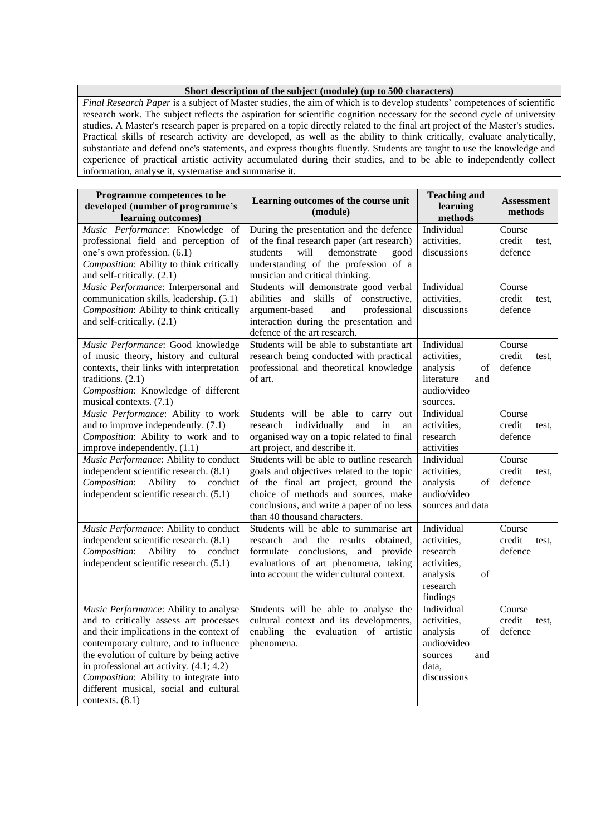### **Short description of the subject (module) (up to 500 characters)**

*Final Research Paper* is a subject of Master studies, the aim of which is to develop students' competences of scientific research work. The subject reflects the aspiration for scientific cognition necessary for the second cycle of university studies. A Master's research paper is prepared on a topic directly related to the final art project of the Master's studies. Practical skills of research activity are developed, as well as the ability to think critically, evaluate analytically, substantiate and defend one's statements, and express thoughts fluently. Students are taught to use the knowledge and experience of practical artistic activity accumulated during their studies, and to be able to independently collect information, analyse it, systematise and summarise it.

| Programme competences to be<br>developed (number of programme's<br>learning outcomes)                                                                                                                                                                                                                                                                                    | Learning outcomes of the course unit<br>(module)                                                                                                                                                                                                   | <b>Teaching and</b><br>learning<br>methods                                                           | <b>Assessment</b><br>methods         |
|--------------------------------------------------------------------------------------------------------------------------------------------------------------------------------------------------------------------------------------------------------------------------------------------------------------------------------------------------------------------------|----------------------------------------------------------------------------------------------------------------------------------------------------------------------------------------------------------------------------------------------------|------------------------------------------------------------------------------------------------------|--------------------------------------|
| Music Performance: Knowledge of<br>professional field and perception of                                                                                                                                                                                                                                                                                                  | During the presentation and the defence<br>of the final research paper (art research)                                                                                                                                                              | Individual<br>activities,                                                                            | Course<br>credit<br>test,            |
| one's own profession. (6.1)<br>Composition: Ability to think critically<br>and self-critically. (2.1)                                                                                                                                                                                                                                                                    | students<br>will<br>demonstrate<br>good<br>understanding of the profession of a<br>musician and critical thinking.                                                                                                                                 | discussions                                                                                          | defence                              |
| Music Performance: Interpersonal and<br>communication skills, leadership. (5.1)<br>Composition: Ability to think critically<br>and self-critically. (2.1)                                                                                                                                                                                                                | Students will demonstrate good verbal<br>abilities and skills of constructive,<br>argument-based<br>and<br>professional<br>interaction during the presentation and<br>defence of the art research.                                                 | Individual<br>activities,<br>discussions                                                             | Course<br>credit<br>test.<br>defence |
| Music Performance: Good knowledge<br>of music theory, history and cultural<br>contexts, their links with interpretation<br>traditions. $(2.1)$<br>Composition: Knowledge of different<br>musical contexts. (7.1)                                                                                                                                                         | Students will be able to substantiate art<br>research being conducted with practical<br>professional and theoretical knowledge<br>of art.                                                                                                          | Individual<br>activities,<br>analysis<br>of<br>literature<br>and<br>audio/video<br>sources.          | Course<br>credit<br>test.<br>defence |
| Music Performance: Ability to work<br>and to improve independently. (7.1)<br>Composition: Ability to work and to<br>improve independently. (1.1)                                                                                                                                                                                                                         | Students will be able to carry<br>out<br>individually<br>research<br>and<br>in<br>an<br>organised way on a topic related to final<br>art project, and describe it.                                                                                 | Individual<br>activities,<br>research<br>activities                                                  | Course<br>credit<br>test,<br>defence |
| Music Performance: Ability to conduct<br>independent scientific research. (8.1)<br>Composition:<br>Ability<br>to<br>conduct<br>independent scientific research. (5.1)                                                                                                                                                                                                    | Students will be able to outline research<br>goals and objectives related to the topic<br>of the final art project, ground the<br>choice of methods and sources, make<br>conclusions, and write a paper of no less<br>than 40 thousand characters. | Individual<br>activities,<br>analysis<br>of<br>audio/video<br>sources and data                       | Course<br>credit<br>test.<br>defence |
| Music Performance: Ability to conduct<br>independent scientific research. (8.1)<br>Composition:<br>Ability<br>to<br>conduct<br>independent scientific research. (5.1)                                                                                                                                                                                                    | Students will be able to summarise art<br>research and the results<br>obtained.<br>formulate conclusions, and provide<br>evaluations of art phenomena, taking<br>into account the wider cultural context.                                          | Individual<br>activities,<br>research<br>activities,<br>analysis<br>of<br>research<br>findings       | Course<br>credit<br>test.<br>defence |
| Music Performance: Ability to analyse<br>and to critically assess art processes<br>and their implications in the context of<br>contemporary culture, and to influence<br>the evolution of culture by being active<br>in professional art activity. $(4.1; 4.2)$<br>Composition: Ability to integrate into<br>different musical, social and cultural<br>contexts. $(8.1)$ | Students will be able to analyse the<br>cultural context and its developments,<br>enabling the evaluation of artistic<br>phenomena.                                                                                                                | Individual<br>activities,<br>analysis<br>of<br>audio/video<br>sources<br>and<br>data,<br>discussions | Course<br>credit<br>test.<br>defence |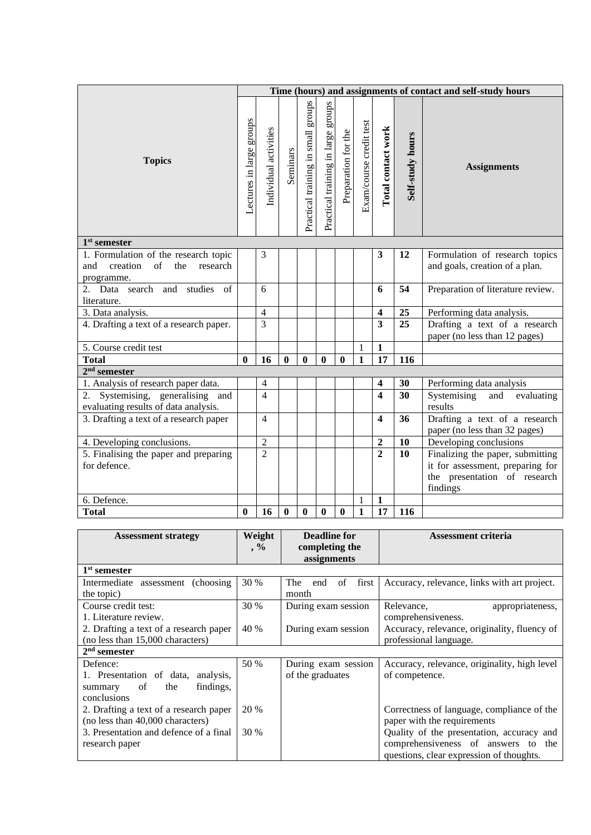|                                                                                                |                          | Time (hours) and assignments of contact and self-study hours |          |                                       |                                    |                     |                         |                         |                  |                                                                              |
|------------------------------------------------------------------------------------------------|--------------------------|--------------------------------------------------------------|----------|---------------------------------------|------------------------------------|---------------------|-------------------------|-------------------------|------------------|------------------------------------------------------------------------------|
| <b>Topics</b>                                                                                  | Lectures in large groups | Individual activities                                        | Seminars | groups<br>Practical training in small | Practical training in large groups | Preparation for the | Exam/course credit test | Total contact work      | Self-study hours | <b>Assignments</b>                                                           |
| $1st$ semester                                                                                 |                          |                                                              |          |                                       |                                    |                     |                         |                         |                  |                                                                              |
| 1. Formulation of the research topic<br>of<br>creation<br>the<br>research<br>and<br>programme. |                          | 3                                                            |          |                                       |                                    |                     |                         | $\mathbf{3}$            | 12               | Formulation of research topics<br>and goals, creation of a plan.             |
| 2. Data search and studies<br>of<br>literature.                                                |                          | 6                                                            |          |                                       |                                    |                     |                         | 6                       | 54               | Preparation of literature review.                                            |
| 3. Data analysis.                                                                              |                          | $\overline{4}$                                               |          |                                       |                                    |                     |                         | $\overline{\mathbf{4}}$ | 25               | Performing data analysis.                                                    |
| 4. Drafting a text of a research paper.                                                        |                          | 3                                                            |          |                                       |                                    |                     |                         | $\overline{\mathbf{3}}$ | 25               | Drafting a text of a research<br>paper (no less than 12 pages)               |
| 5. Course credit test                                                                          |                          |                                                              |          |                                       |                                    |                     | 1                       | $\mathbf{1}$            |                  |                                                                              |
| <b>Total</b>                                                                                   | $\bf{0}$                 | 16                                                           | $\bf{0}$ | $\mathbf{0}$                          | $\bf{0}$                           | $\bf{0}$            | $\mathbf{1}$            | 17                      | 116              |                                                                              |
| $2nd$ semester                                                                                 |                          |                                                              |          |                                       |                                    |                     |                         |                         |                  |                                                                              |
| 1. Analysis of research paper data.                                                            |                          | $\overline{4}$                                               |          |                                       |                                    |                     |                         | $\overline{\mathbf{4}}$ | 30               | Performing data analysis                                                     |
| 2. Systemising, generalising and<br>evaluating results of data analysis.                       |                          | $\overline{4}$                                               |          |                                       |                                    |                     |                         | $\overline{\mathbf{4}}$ | 30               | Systemising<br>evaluating<br>and<br>results                                  |
| 3. Drafting a text of a research paper                                                         |                          | $\overline{4}$                                               |          |                                       |                                    |                     |                         | $\boldsymbol{4}$        | 36               | Drafting a text of a research<br>paper (no less than 32 pages)               |
| 4. Developing conclusions.                                                                     |                          | $\overline{2}$                                               |          |                                       |                                    |                     |                         | $\overline{2}$          | 10               | Developing conclusions                                                       |
| 5. Finalising the paper and preparing                                                          |                          | $\overline{2}$                                               |          |                                       |                                    |                     |                         | $\overline{2}$          | 10               | Finalizing the paper, submitting                                             |
| for defence.                                                                                   |                          |                                                              |          |                                       |                                    |                     |                         |                         |                  | it for assessment, preparing for<br>the presentation of research<br>findings |
| 6. Defence.                                                                                    |                          |                                                              |          |                                       |                                    |                     | 1                       | $\mathbf{1}$            |                  |                                                                              |
| <b>Total</b>                                                                                   | $\bf{0}$                 | 16                                                           | $\bf{0}$ | $\bf{0}$                              | $\bf{0}$                           | $\bf{0}$            | $\mathbf{1}$            | 17                      | 116              |                                                                              |

| <b>Assessment strategy</b>             | Weight      | <b>Deadline for</b>           | <b>Assessment criteria</b>                   |  |  |
|----------------------------------------|-------------|-------------------------------|----------------------------------------------|--|--|
|                                        | $, \%$      | completing the<br>assignments |                                              |  |  |
| 1 <sup>st</sup> semester               |             |                               |                                              |  |  |
| Intermediate assessment (choosing)     | 30 %        | first<br>of<br>The<br>end     | Accuracy, relevance, links with art project. |  |  |
| the topic)                             |             | month                         |                                              |  |  |
| Course credit test:                    | 30 %        | During exam session           | Relevance,<br>appropriateness,               |  |  |
| 1. Literature review.                  |             |                               | comprehensiveness.                           |  |  |
| 2. Drafting a text of a research paper | 40 %        | During exam session           | Accuracy, relevance, originality, fluency of |  |  |
| (no less than 15,000 characters)       |             |                               | professional language.                       |  |  |
| $2nd$ semester                         |             |                               |                                              |  |  |
| Defence:                               | 50 %        | During exam session           | Accuracy, relevance, originality, high level |  |  |
| 1. Presentation of data, analysis,     |             | of the graduates              | of competence.                               |  |  |
| findings,<br>of<br>the<br>summary      |             |                               |                                              |  |  |
| conclusions                            |             |                               |                                              |  |  |
| 2. Drafting a text of a research paper | 20 %        |                               | Correctness of language, compliance of the   |  |  |
| (no less than 40,000 characters)       |             |                               | paper with the requirements                  |  |  |
| 3. Presentation and defence of a final | <b>30 %</b> |                               | Quality of the presentation, accuracy and    |  |  |
| research paper                         |             |                               | comprehensiveness of answers to the          |  |  |
|                                        |             |                               | questions, clear expression of thoughts.     |  |  |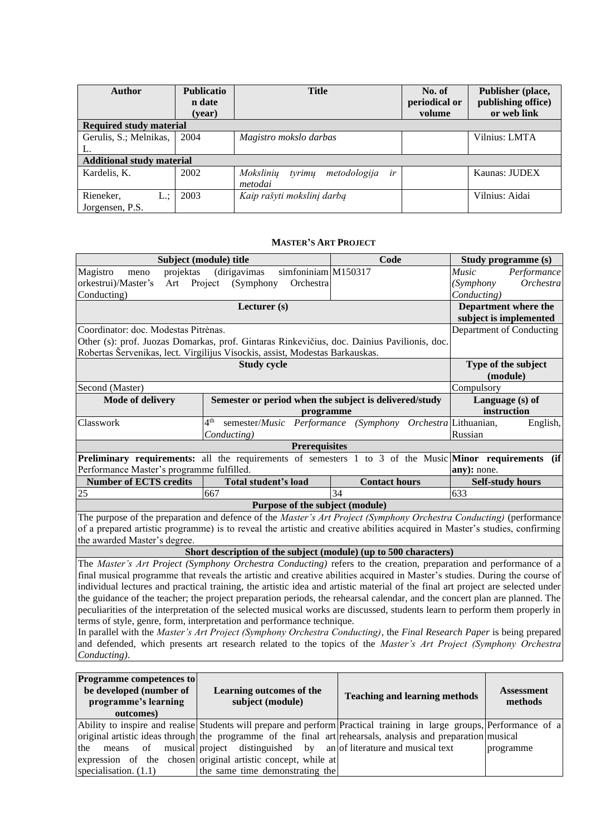| <b>Author</b>                    | <b>Publicatio</b><br>n date | <b>Title</b>                              | No. of<br>periodical or | Publisher (place,<br>publishing office) |
|----------------------------------|-----------------------------|-------------------------------------------|-------------------------|-----------------------------------------|
|                                  | (year)                      |                                           | volume                  | or web link                             |
| <b>Required study material</b>   |                             |                                           |                         |                                         |
| Gerulis, S.; Melnikas,           | 2004                        | Magistro mokslo darbas                    |                         | Vilnius: LMTA                           |
| L.                               |                             |                                           |                         |                                         |
| <b>Additional study material</b> |                             |                                           |                         |                                         |
| Kardelis, K.                     | 2002                        | Moksliniu<br>tyrimų<br>metodologija<br>ir |                         | Kaunas: JUDEX                           |
|                                  |                             | metodai                                   |                         |                                         |
| Rieneker,<br>L.:                 | 2003                        | Kaip rašyti mokslinį darbą                |                         | Vilnius: Aidai                          |
| Jorgensen, P.S.                  |                             |                                           |                         |                                         |

### **MASTER'S ART PROJECT**

<span id="page-13-0"></span>

|                                                                                                                                 | Subject (module) title                                                                                                      | Code                                                       | Study programme (s)         |  |  |
|---------------------------------------------------------------------------------------------------------------------------------|-----------------------------------------------------------------------------------------------------------------------------|------------------------------------------------------------|-----------------------------|--|--|
| Magistro<br>projektas<br>meno                                                                                                   | $sim$ foniniam M150317<br>(dirigavimas)                                                                                     |                                                            | Performance<br><i>Music</i> |  |  |
| orkestrui)/Master's<br>Art                                                                                                      | Project<br>(Symphony<br>Orchestra                                                                                           |                                                            | Orchestra<br>(Symphony)     |  |  |
| Conducting)                                                                                                                     |                                                                                                                             |                                                            | Conducting)                 |  |  |
|                                                                                                                                 | Lecturer $(s)$                                                                                                              |                                                            | Department where the        |  |  |
|                                                                                                                                 |                                                                                                                             |                                                            | subject is implemented      |  |  |
| Coordinator: doc. Modestas Pitrėnas.                                                                                            |                                                                                                                             |                                                            | Department of Conducting    |  |  |
|                                                                                                                                 | Other (s): prof. Juozas Domarkas, prof. Gintaras Rinkevičius, doc. Dainius Pavilionis, doc.                                 |                                                            |                             |  |  |
|                                                                                                                                 | Robertas Šervenikas, lect. Virgilijus Visockis, assist, Modestas Barkauskas.                                                |                                                            |                             |  |  |
|                                                                                                                                 | <b>Study cycle</b>                                                                                                          |                                                            | Type of the subject         |  |  |
|                                                                                                                                 |                                                                                                                             |                                                            | (module)                    |  |  |
| Second (Master)                                                                                                                 |                                                                                                                             |                                                            | Compulsory                  |  |  |
| <b>Mode of delivery</b>                                                                                                         | Semester or period when the subject is delivered/study                                                                      |                                                            | Language (s) of             |  |  |
|                                                                                                                                 | programme                                                                                                                   |                                                            | instruction                 |  |  |
| Classwork                                                                                                                       | 4 <sup>th</sup>                                                                                                             | semester/Music Performance (Symphony Orchestra Lithuanian, | English,                    |  |  |
|                                                                                                                                 | Conducting)                                                                                                                 |                                                            | Russian                     |  |  |
|                                                                                                                                 | <b>Prerequisites</b>                                                                                                        |                                                            |                             |  |  |
|                                                                                                                                 | <b>Preliminary requirements:</b> all the requirements of semesters 1 to 3 of the Music Minor requirements (if               |                                                            |                             |  |  |
| Performance Master's programme fulfilled.                                                                                       |                                                                                                                             |                                                            | any): none.                 |  |  |
| <b>Number of ECTS credits</b>                                                                                                   | <b>Total student's load</b>                                                                                                 | <b>Contact hours</b>                                       | <b>Self-study hours</b>     |  |  |
| 25                                                                                                                              | 667                                                                                                                         | 34                                                         | 633                         |  |  |
|                                                                                                                                 | Purpose of the subject (module)                                                                                             |                                                            |                             |  |  |
|                                                                                                                                 | The purpose of the preparation and defence of the Master's Art Project (Symphony Orchestra Conducting) (performance         |                                                            |                             |  |  |
|                                                                                                                                 | of a prepared artistic programme) is to reveal the artistic and creative abilities acquired in Master's studies, confirming |                                                            |                             |  |  |
| the awarded Master's degree.                                                                                                    |                                                                                                                             |                                                            |                             |  |  |
|                                                                                                                                 | Short description of the subject (module) (up to 500 characters)                                                            |                                                            |                             |  |  |
| The <i>Master's Art Project (Symphony Orchestra Conducting)</i> refers to the creation, preparation and performance of a        |                                                                                                                             |                                                            |                             |  |  |
|                                                                                                                                 | final musical programme that reveals the artistic and creative abilities acquired in Master's studies. During the course of |                                                            |                             |  |  |
| individual lectures and practical training, the artistic idea and artistic material of the final art project are selected under |                                                                                                                             |                                                            |                             |  |  |

individual lectures and practical training, the artistic idea and artistic material of the final art project are selected under the guidance of the teacher; the project preparation periods, the rehearsal calendar, and the concert plan are planned. The peculiarities of the interpretation of the selected musical works are discussed, students learn to perform them properly in terms of style, genre, form, interpretation and performance technique.

In parallel with the *Master's Art Project (Symphony Orchestra Conducting)*, the *Final Research Paper* is being prepared and defended, which presents art research related to the topics of the *Master's Art Project (Symphony Orchestra Conducting)*.

| <b>Programme competences to</b><br>be developed (number of<br>programme's learning<br>outcomes) | Learning outcomes of the<br>subject (module)                                    | <b>Teaching and learning methods</b>                                                                                  | <b>Assessment</b><br>methods |
|-------------------------------------------------------------------------------------------------|---------------------------------------------------------------------------------|-----------------------------------------------------------------------------------------------------------------------|------------------------------|
|                                                                                                 |                                                                                 | Ability to inspire and realise Students will prepare and perform Practical training in large groups, Performance of a |                              |
|                                                                                                 |                                                                                 | original artistic ideas through the programme of the final art rehearsals, analysis and preparation musical           |                              |
|                                                                                                 | the means of musical project distinguished by an of literature and musical text |                                                                                                                       | programme                    |
|                                                                                                 | expression of the chosen original artistic concept, while at                    |                                                                                                                       |                              |
| specialisation. $(1.1)$                                                                         | the same time demonstrating the                                                 |                                                                                                                       |                              |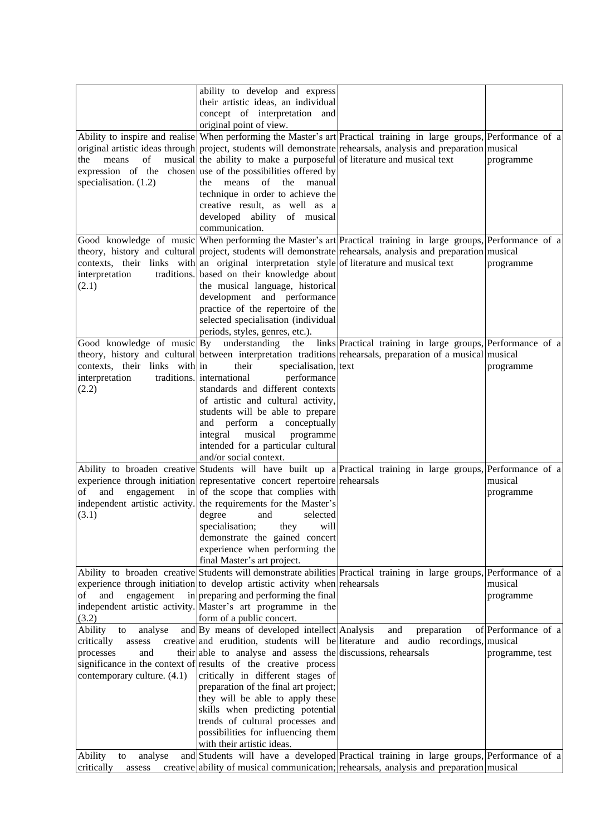|                               | ability to develop and express                                                             |                                                                                                                      |                     |
|-------------------------------|--------------------------------------------------------------------------------------------|----------------------------------------------------------------------------------------------------------------------|---------------------|
|                               | their artistic ideas, an individual                                                        |                                                                                                                      |                     |
|                               | concept of interpretation and                                                              |                                                                                                                      |                     |
|                               | original point of view.                                                                    |                                                                                                                      |                     |
|                               |                                                                                            | Ability to inspire and realise When performing the Master's art Practical training in large groups, Performance of a |                     |
|                               |                                                                                            | original artistic ideas through project, students will demonstrate rehearsals, analysis and preparation musical      |                     |
| the<br>of<br>means            | musical the ability to make a purposeful of literature and musical text                    |                                                                                                                      | programme           |
|                               | expression of the chosen use of the possibilities offered by                               |                                                                                                                      |                     |
| specialisation. $(1.2)$       | the<br>means<br>of the<br>manual                                                           |                                                                                                                      |                     |
|                               | technique in order to achieve the                                                          |                                                                                                                      |                     |
|                               | creative result, as well as a                                                              |                                                                                                                      |                     |
|                               | developed ability of musical                                                               |                                                                                                                      |                     |
|                               | communication.                                                                             |                                                                                                                      |                     |
|                               |                                                                                            | Good knowledge of music When performing the Master's art Practical training in large groups, Performance of a        |                     |
|                               |                                                                                            | theory, history and cultural project, students will demonstrate rehearsals, analysis and preparation musical         |                     |
|                               | contexts, their links with an original interpretation style of literature and musical text |                                                                                                                      | programme           |
| interpretation                | traditions. based on their knowledge about                                                 |                                                                                                                      |                     |
| (2.1)                         | the musical language, historical                                                           |                                                                                                                      |                     |
|                               | development and performance                                                                |                                                                                                                      |                     |
|                               | practice of the repertoire of the                                                          |                                                                                                                      |                     |
|                               | selected specialisation (individual                                                        |                                                                                                                      |                     |
|                               | periods, styles, genres, etc.).                                                            |                                                                                                                      |                     |
| Good knowledge of music By    | understanding                                                                              | the links Practical training in large groups, Performance of a                                                       |                     |
|                               |                                                                                            | theory, history and cultural between interpretation traditions rehearsals, preparation of a musical musical          |                     |
| contexts, their links with in | their<br>specialisation, text<br>traditions. international<br>performance                  |                                                                                                                      | programme           |
| interpretation<br>(2.2)       | standards and different contexts                                                           |                                                                                                                      |                     |
|                               | of artistic and cultural activity,                                                         |                                                                                                                      |                     |
|                               | students will be able to prepare                                                           |                                                                                                                      |                     |
|                               | and perform a conceptually                                                                 |                                                                                                                      |                     |
|                               | musical<br>integral<br>programme                                                           |                                                                                                                      |                     |
|                               | intended for a particular cultural                                                         |                                                                                                                      |                     |
|                               | and/or social context.                                                                     |                                                                                                                      |                     |
|                               |                                                                                            | Ability to broaden creative Students will have built up a Practical training in large groups, Performance of a       |                     |
|                               | experience through initiation representative concert repertoire rehearsals                 |                                                                                                                      | musical             |
| and<br>engagement<br>оf       | $\frac{1}{2}$ in of the scope that complies with                                           |                                                                                                                      | programme           |
|                               | independent artistic activity. the requirements for the Master's                           |                                                                                                                      |                     |
| (3.1)                         | degree<br>and<br>selected                                                                  |                                                                                                                      |                     |
|                               | specialisation; they will                                                                  |                                                                                                                      |                     |
|                               | demonstrate the gained concert                                                             |                                                                                                                      |                     |
|                               | experience when performing the                                                             |                                                                                                                      |                     |
|                               | final Master's art project.                                                                |                                                                                                                      |                     |
|                               |                                                                                            | Ability to broaden creative Students will demonstrate abilities Practical training in large groups, Performance of a |                     |
|                               | experience through initiation to develop artistic activity when rehearsals                 |                                                                                                                      | musical             |
| and<br>engagement<br>of       | in preparing and performing the final                                                      |                                                                                                                      | programme           |
|                               | independent artistic activity. Master's art programme in the                               |                                                                                                                      |                     |
| (3.2)                         | form of a public concert.                                                                  |                                                                                                                      |                     |
| Ability<br>to<br>analyse      | and By means of developed intellect Analysis                                               | and<br>preparation                                                                                                   | of Performance of a |
| critically<br>assess          | creative and erudition, students will be literature                                        | and audio recordings, musical                                                                                        |                     |
| processes<br>and              | their able to analyse and assess the discussions, rehearsals                               |                                                                                                                      | programme, test     |
|                               | significance in the context of results of the creative process                             |                                                                                                                      |                     |
| contemporary culture. (4.1)   | critically in different stages of                                                          |                                                                                                                      |                     |
|                               | preparation of the final art project;                                                      |                                                                                                                      |                     |
|                               | they will be able to apply these                                                           |                                                                                                                      |                     |
|                               | skills when predicting potential                                                           |                                                                                                                      |                     |
|                               | trends of cultural processes and                                                           |                                                                                                                      |                     |
|                               | possibilities for influencing them<br>with their artistic ideas.                           |                                                                                                                      |                     |
| Ability<br>analyse<br>to      |                                                                                            | and Students will have a developed Practical training in large groups, Performance of a                              |                     |
| critically<br>assess          |                                                                                            | creative ability of musical communication; rehearsals, analysis and preparation musical                              |                     |
|                               |                                                                                            |                                                                                                                      |                     |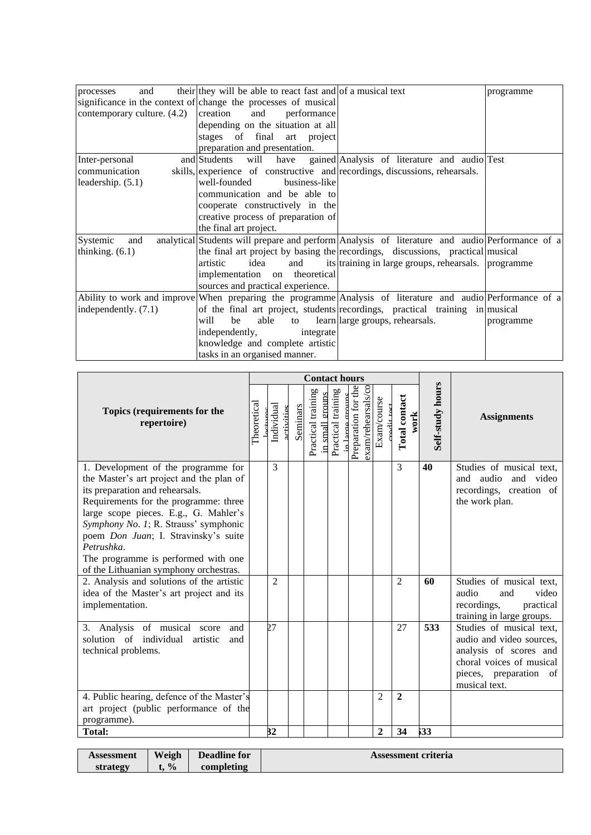| and<br>processes            | their they will be able to react fast and of a musical text    |                                                                                                            | programme |
|-----------------------------|----------------------------------------------------------------|------------------------------------------------------------------------------------------------------------|-----------|
|                             | significance in the context of change the processes of musical |                                                                                                            |           |
| contemporary culture. (4.2) | and<br>creation<br>performance                                 |                                                                                                            |           |
|                             | depending on the situation at all                              |                                                                                                            |           |
|                             | stages of final art project                                    |                                                                                                            |           |
|                             | preparation and presentation.                                  |                                                                                                            |           |
| Inter-personal              | and Students                                                   | will have gained Analysis of literature and audio Test                                                     |           |
| communication               |                                                                | skills, experience of constructive and recordings, discussions, rehearsals.                                |           |
| leadership. $(5.1)$         | well-founded<br>business-like                                  |                                                                                                            |           |
|                             | communication and be able to                                   |                                                                                                            |           |
|                             | cooperate constructively in the                                |                                                                                                            |           |
|                             | creative process of preparation of                             |                                                                                                            |           |
|                             | the final art project.                                         |                                                                                                            |           |
| Systemic<br>and             |                                                                | analytical Students will prepare and perform Analysis of literature and audio Performance of a             |           |
| thinking. $(6.1)$           |                                                                | the final art project by basing the recordings, discussions, practical musical                             |           |
|                             | idea<br>artistic<br>and                                        | its training in large groups, rehearsals. programme                                                        |           |
|                             | implementation on theoretical                                  |                                                                                                            |           |
|                             | sources and practical experience.                              |                                                                                                            |           |
|                             |                                                                | Ability to work and improve When preparing the programme Analysis of literature and audio Performance of a |           |
| independently. $(7.1)$      |                                                                | of the final art project, students recordings, practical training in musical                               |           |
|                             | will<br>be<br>able                                             | to learn large groups, rehearsals.                                                                         | programme |
|                             | independently,<br>integrate                                    |                                                                                                            |           |
|                             | knowledge and complete artistic                                |                                                                                                            |           |
|                             | tasks in an organised manner.                                  |                                                                                                            |           |

|                                                                                                                                                                                                                                                                                                                                                                                      |             | <b>Contact hours</b>     |          |                                       |                               |                                                          |                |                       |                  |                                                                                                                                                       |
|--------------------------------------------------------------------------------------------------------------------------------------------------------------------------------------------------------------------------------------------------------------------------------------------------------------------------------------------------------------------------------------|-------------|--------------------------|----------|---------------------------------------|-------------------------------|----------------------------------------------------------|----------------|-----------------------|------------------|-------------------------------------------------------------------------------------------------------------------------------------------------------|
| Topics (requirements for the<br>repertoire)                                                                                                                                                                                                                                                                                                                                          | Theoretical | Individual<br>activities | Seminars | Practical training<br>in small groups | Practical training<br>n large | Preparation for the<br>$\mathcal{S}$<br>exam/rehearsals/ | Exam/course    | Total contact<br>work | Self-study hours | <b>Assignments</b>                                                                                                                                    |
| 1. Development of the programme for<br>the Master's art project and the plan of<br>its preparation and rehearsals.<br>Requirements for the programme: three<br>large scope pieces. E.g., G. Mahler's<br>Symphony No. 1; R. Strauss' symphonic<br>poem Don Juan; I. Stravinsky's suite<br>Petrushka.<br>The programme is performed with one<br>of the Lithuanian symphony orchestras. |             | 3                        |          |                                       |                               |                                                          |                | $\mathcal{E}$         | 40               | Studies of musical text,<br>and audio and video<br>recordings, creation of<br>the work plan.                                                          |
| 2. Analysis and solutions of the artistic<br>idea of the Master's art project and its<br>implementation.                                                                                                                                                                                                                                                                             |             | $\overline{2}$           |          |                                       |                               |                                                          |                | $\mathcal{L}$         | 60               | Studies of musical text,<br>audio<br>video<br>and<br>recordings,<br>practical<br>training in large groups.                                            |
| 3. Analysis of musical score<br>and<br>solution of<br>individual<br>artistic<br>and<br>technical problems.                                                                                                                                                                                                                                                                           |             | 27                       |          |                                       |                               |                                                          |                | 27                    | 533              | Studies of musical text,<br>audio and video sources,<br>analysis of scores and<br>choral voices of musical<br>pieces, preparation of<br>musical text. |
| 4. Public hearing, defence of the Master's<br>art project (public performance of the<br>programme).                                                                                                                                                                                                                                                                                  |             |                          |          |                                       |                               |                                                          | $\overline{2}$ | $\overline{2}$        |                  |                                                                                                                                                       |
| Total:                                                                                                                                                                                                                                                                                                                                                                               |             | 32                       |          |                                       |                               |                                                          | $\overline{2}$ | 34                    | 533              |                                                                                                                                                       |

| <b>Assessment</b> | Weigh         | <b>Deadline for</b> | Assessment criteria |
|-------------------|---------------|---------------------|---------------------|
| strategy          | $\frac{0}{0}$ | completing          |                     |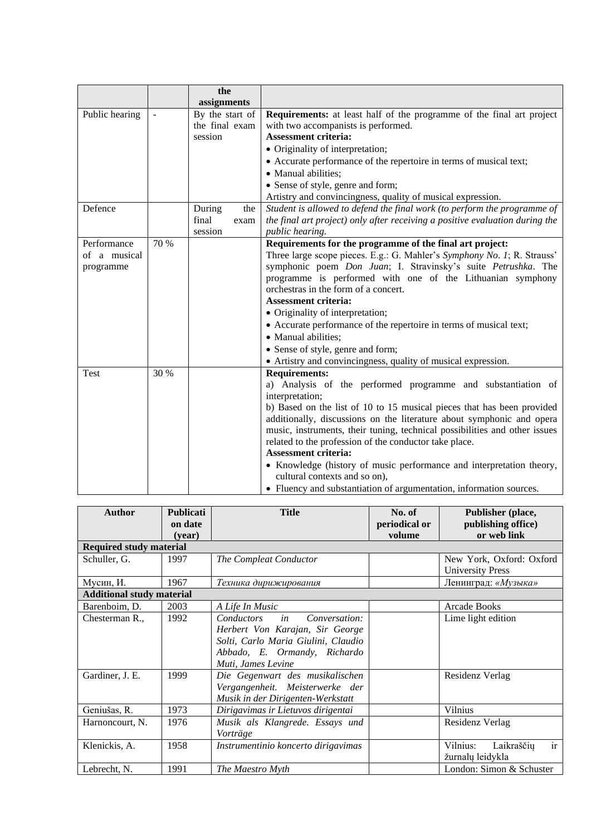|                |      | the             |                                                                              |
|----------------|------|-----------------|------------------------------------------------------------------------------|
|                |      | assignments     |                                                                              |
| Public hearing |      | By the start of | Requirements: at least half of the programme of the final art project        |
|                |      | the final exam  | with two accompanists is performed.                                          |
|                |      | session         | <b>Assessment criteria:</b>                                                  |
|                |      |                 | • Originality of interpretation;                                             |
|                |      |                 | • Accurate performance of the repertoire in terms of musical text;           |
|                |      |                 | • Manual abilities;                                                          |
|                |      |                 | • Sense of style, genre and form;                                            |
|                |      |                 | Artistry and convincingness, quality of musical expression.                  |
| Defence        |      | During<br>the   | Student is allowed to defend the final work (to perform the programme of     |
|                |      | final<br>exam   | the final art project) only after receiving a positive evaluation during the |
|                |      | session         | public hearing.                                                              |
| Performance    | 70 % |                 | Requirements for the programme of the final art project:                     |
| of a musical   |      |                 | Three large scope pieces. E.g.: G. Mahler's Symphony No. 1; R. Strauss'      |
| programme      |      |                 | symphonic poem Don Juan; I. Stravinsky's suite Petrushka. The                |
|                |      |                 | programme is performed with one of the Lithuanian symphony                   |
|                |      |                 | orchestras in the form of a concert.                                         |
|                |      |                 | <b>Assessment criteria:</b>                                                  |
|                |      |                 | • Originality of interpretation;                                             |
|                |      |                 | • Accurate performance of the repertoire in terms of musical text;           |
|                |      |                 | · Manual abilities;                                                          |
|                |      |                 | • Sense of style, genre and form;                                            |
|                |      |                 | • Artistry and convincingness, quality of musical expression.                |
| Test           | 30 % |                 | <b>Requirements:</b>                                                         |
|                |      |                 | a) Analysis of the performed programme and substantiation of                 |
|                |      |                 | interpretation;                                                              |
|                |      |                 | b) Based on the list of 10 to 15 musical pieces that has been provided       |
|                |      |                 | additionally, discussions on the literature about symphonic and opera        |
|                |      |                 | music, instruments, their tuning, technical possibilities and other issues   |
|                |      |                 | related to the profession of the conductor take place.                       |
|                |      |                 | <b>Assessment criteria:</b>                                                  |
|                |      |                 | • Knowledge (history of music performance and interpretation theory,         |
|                |      |                 | cultural contexts and so on),                                                |
|                |      |                 | • Fluency and substantiation of argumentation, information sources.          |

| <b>Author</b>                    | <b>Publicati</b><br>on date<br>(year) | <b>Title</b>                                                                                                                                                             | No. of<br>periodical or<br>volume | Publisher (place,<br>publishing office)<br>or web link |
|----------------------------------|---------------------------------------|--------------------------------------------------------------------------------------------------------------------------------------------------------------------------|-----------------------------------|--------------------------------------------------------|
| <b>Required study material</b>   |                                       |                                                                                                                                                                          |                                   |                                                        |
| Schuller, G.                     | 1997                                  | The Compleat Conductor                                                                                                                                                   |                                   | New York, Oxford: Oxford<br><b>University Press</b>    |
| Мусин, И.                        | 1967                                  | Техника дирижирования                                                                                                                                                    |                                   | Ленинград: «Музыка»                                    |
| <b>Additional study material</b> |                                       |                                                                                                                                                                          |                                   |                                                        |
| Barenboim, D.                    | 2003                                  | A Life In Music                                                                                                                                                          |                                   | <b>Arcade Books</b>                                    |
| Chesterman R.,                   | 1992                                  | Conversation:<br><i>Conductors</i><br>in<br>Herbert Von Karajan, Sir George<br>Solti, Carlo Maria Giulini, Claudio<br>Abbado, E. Ormandy, Richardo<br>Muti, James Levine |                                   | Lime light edition                                     |
| Gardiner, J. E.                  | 1999                                  | Die Gegenwart des musikalischen<br>Vergangenheit. Meisterwerke der<br>Musik in der Dirigenten-Werkstatt                                                                  |                                   | Residenz Verlag                                        |
| Geniušas, R.                     | 1973                                  | Dirigavimas ir Lietuvos dirigentai                                                                                                                                       |                                   | <b>Vilnius</b>                                         |
| Harnoncourt, N.                  | 1976                                  | Musik als Klangrede. Essays und<br>Vorträge                                                                                                                              |                                   | Residenz Verlag                                        |
| Klenickis, A.                    | 1958                                  | Instrumentinio koncerto dirigavimas                                                                                                                                      |                                   | ir<br>Vilnius:<br>Laikraščių<br>žurnalų leidykla       |
| Lebrecht, N.                     | 1991                                  | The Maestro Myth                                                                                                                                                         |                                   | London: Simon & Schuster                               |